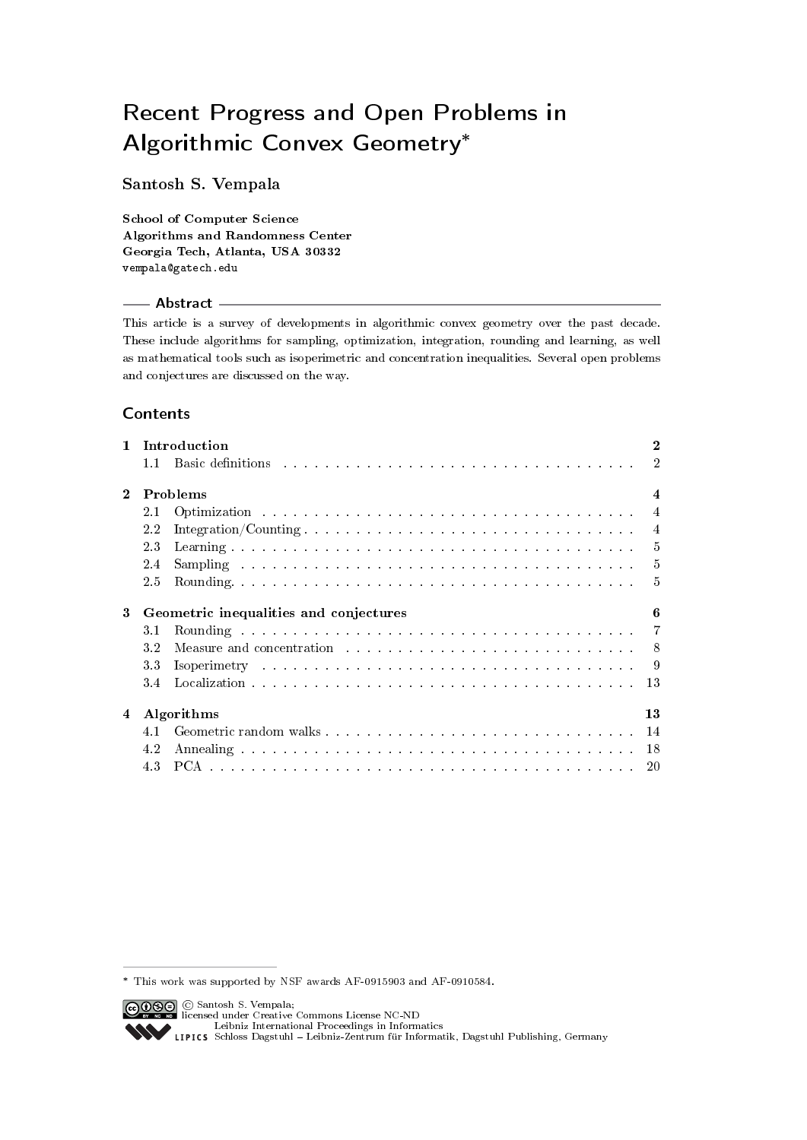# Recent Progress and Open Problems in Algorithmic Convex Geometry<sup>∗</sup>

# Santosh S. Vempala

School of Computer Science Algorithms and Randomness Center Georgia Tech, Atlanta, USA 30332 vempala@gatech.edu

# - Abstract -

This article is a survey of developments in algorithmic convex geometry over the past decade. These include algorithms for sampling, optimization, integration, rounding and learning, as well as mathematical tools such as isoperimetric and concentration inequalities. Several open problems and conjectures are discussed on the way.

# Contents

| $\mathbf{1}$                                |                              | Introduction                                                                                                                                                                                                                        | 2              |
|---------------------------------------------|------------------------------|-------------------------------------------------------------------------------------------------------------------------------------------------------------------------------------------------------------------------------------|----------------|
|                                             | 11                           | <b>Basic definitions</b> enterpreted to the contract of the contract of the contract of the contract of the contract of the contract of the contract of the contract of the contract of the contract of the contract of the contrac | $\mathcal{D}$  |
| $\bf{2}$                                    | Problems<br>$\boldsymbol{4}$ |                                                                                                                                                                                                                                     |                |
|                                             | 2.1                          |                                                                                                                                                                                                                                     | $\overline{4}$ |
|                                             | 2.2                          |                                                                                                                                                                                                                                     | $\overline{4}$ |
|                                             | 2.3                          |                                                                                                                                                                                                                                     | -5             |
|                                             | 2.4                          | Sampling and contained a series of the contained and containing the series of the series of the series of the series of the series of the series of the series of the series of the series of the series of the series of the       | $\frac{5}{2}$  |
|                                             | 2.5                          |                                                                                                                                                                                                                                     | $\frac{5}{2}$  |
| Geometric inequalities and conjectures<br>3 |                              |                                                                                                                                                                                                                                     | 6              |
|                                             | 3.1                          |                                                                                                                                                                                                                                     |                |
|                                             | 3.2                          | Measure and concentration entering in the set of the set of the set of the set of the set of the set of the set of the set of the set of the set of the set of the set of the set of the set of the set of the set of the set       | -8             |
|                                             | 3.3                          | Isoperimetry and an annual contract and an annual contract and an annual contract of the set of the set of the set of the set of the set of the set of the set of the set of the set of the set of the set of the set of the s      | -9             |
|                                             | 3.4                          |                                                                                                                                                                                                                                     | 13             |
| Algorithms<br>4                             |                              |                                                                                                                                                                                                                                     | 13             |
|                                             | 41                           |                                                                                                                                                                                                                                     |                |
|                                             | 4.2                          |                                                                                                                                                                                                                                     | 18             |
|                                             |                              |                                                                                                                                                                                                                                     | 20             |

<sup>∗</sup> This work was supported by NSF awards AF-0915903 and AF-0910584.

<sup>©</sup> Santosh S. Vempala; licensed under Creative Commons License NC-ND [Leibniz International Proceedings in Informatics](http://www.dagstuhl.de/en/publications/lipics/) [Schloss Dagstuhl Leibniz-Zentrum für Informatik, Dagstuhl Publishing, Germany](http://www.dagstuhl.de/en/about-dagstuhl/)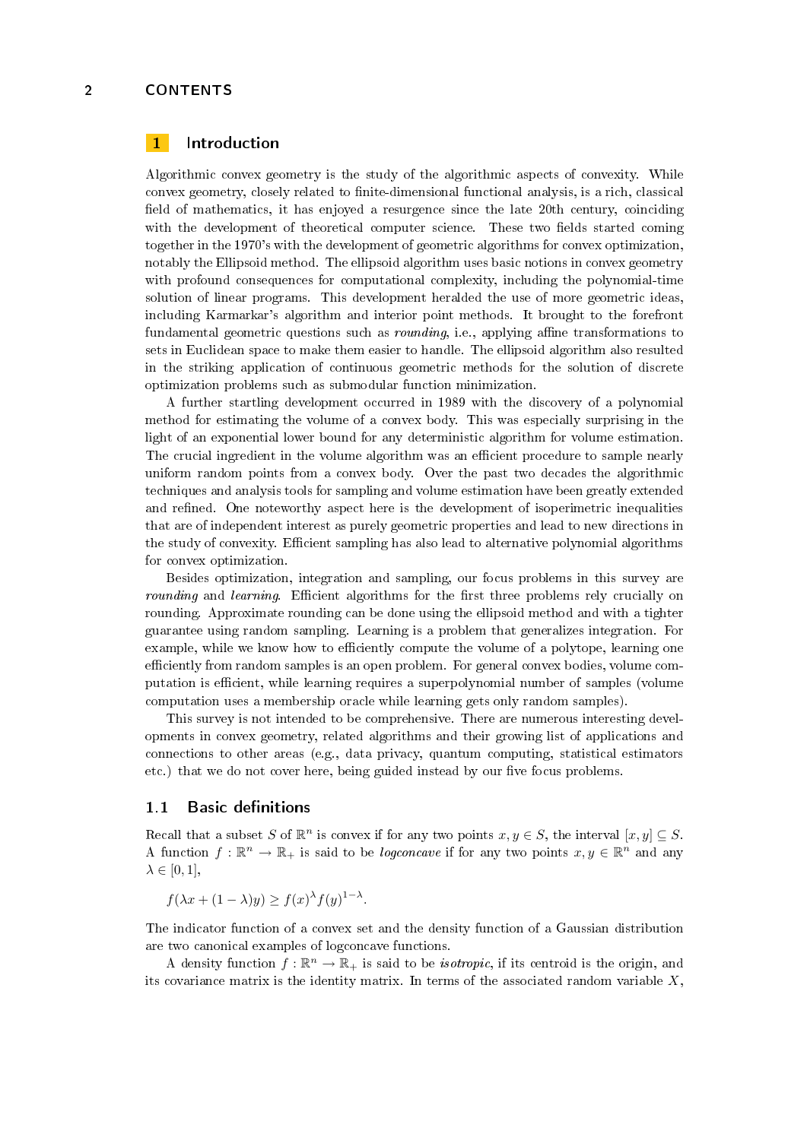# <span id="page-1-0"></span>1 Introduction

Algorithmic convex geometry is the study of the algorithmic aspects of convexity. While convex geometry, closely related to finite-dimensional functional analysis, is a rich, classical field of mathematics, it has enjoyed a resurgence since the late 20th century, coinciding with the development of theoretical computer science. These two fields started coming together in the 1970's with the development of geometric algorithms for convex optimization, notably the Ellipsoid method. The ellipsoid algorithm uses basic notions in convex geometry with profound consequences for computational complexity, including the polynomial-time solution of linear programs. This development heralded the use of more geometric ideas, including Karmarkar's algorithm and interior point methods. It brought to the forefront fundamental geometric questions such as *rounding*, i.e., applying affine transformations to sets in Euclidean space to make them easier to handle. The ellipsoid algorithm also resulted in the striking application of continuous geometric methods for the solution of discrete optimization problems such as submodular function minimization.

A further startling development occurred in 1989 with the discovery of a polynomial method for estimating the volume of a convex body. This was especially surprising in the light of an exponential lower bound for any deterministic algorithm for volume estimation. The crucial ingredient in the volume algorithm was an efficient procedure to sample nearly uniform random points from a convex body. Over the past two decades the algorithmic techniques and analysis tools for sampling and volume estimation have been greatly extended and refined. One noteworthy aspect here is the development of isoperimetric inequalities that are of independent interest as purely geometric properties and lead to new directions in the study of convexity. Efficient sampling has also lead to alternative polynomial algorithms for convex optimization.

Besides optimization, integration and sampling, our focus problems in this survey are rounding and learning. Efficient algorithms for the first three problems rely crucially on rounding. Approximate rounding can be done using the ellipsoid method and with a tighter guarantee using random sampling. Learning is a problem that generalizes integration. For example, while we know how to efficiently compute the volume of a polytope, learning one efficiently from random samples is an open problem. For general convex bodies, volume computation is efficient, while learning requires a superpolynomial number of samples (volume computation uses a membership oracle while learning gets only random samples).

This survey is not intended to be comprehensive. There are numerous interesting developments in convex geometry, related algorithms and their growing list of applications and connections to other areas (e.g., data privacy, quantum computing, statistical estimators etc.) that we do not cover here, being guided instead by our five focus problems.

# <span id="page-1-1"></span>1.1 Basic definitions

Recall that a subset S of  $\mathbb{R}^n$  is convex if for any two points  $x, y \in S$ , the interval  $[x, y] \subseteq S$ . A function  $f : \mathbb{R}^n \to \mathbb{R}_+$  is said to be *logconcave* if for any two points  $x, y \in \mathbb{R}^n$  and any  $\lambda \in [0, 1]$ ,

$$
f(\lambda x + (1 - \lambda)y) \ge f(x)^{\lambda} f(y)^{1 - \lambda}.
$$

The indicator function of a convex set and the density function of a Gaussian distribution are two canonical examples of logconcave functions.

A density function  $f : \mathbb{R}^n \to \mathbb{R}_+$  is said to be *isotropic*, if its centroid is the origin, and its covariance matrix is the identity matrix. In terms of the associated random variable  $X$ ,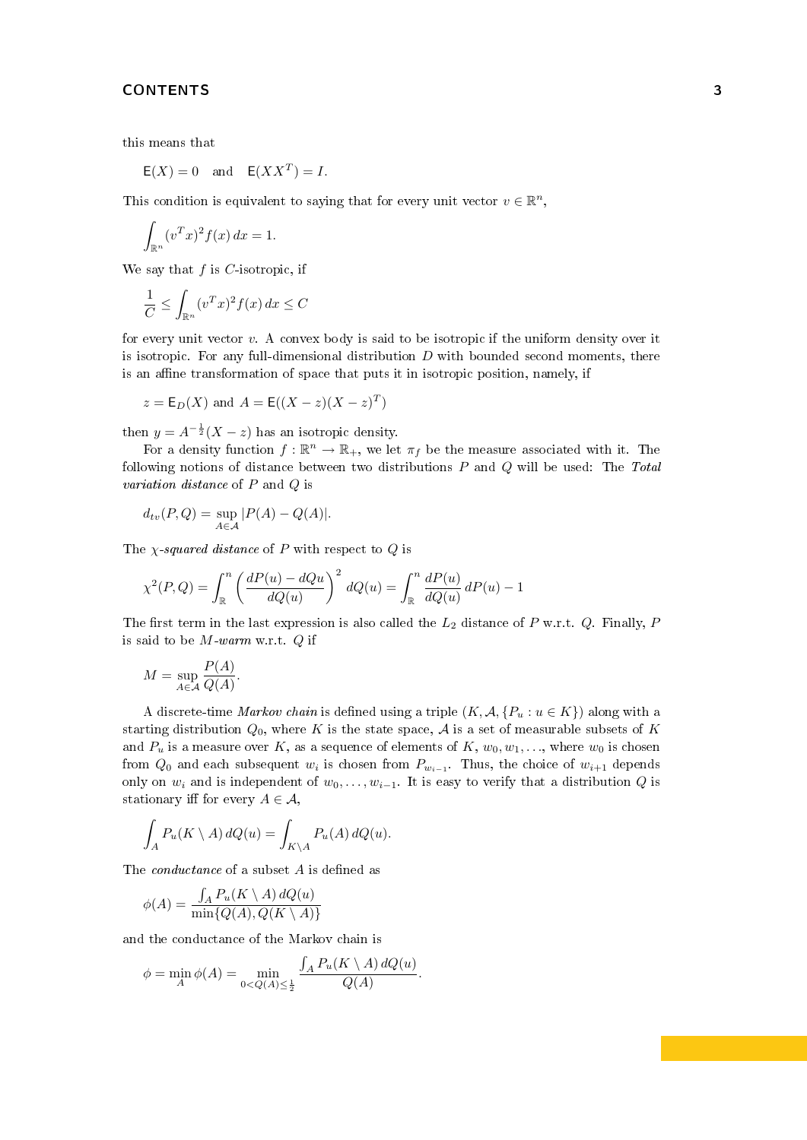this means that

 $E(X) = 0$  and  $E(XX^T) = I$ .

This condition is equivalent to saying that for every unit vector  $v \in \mathbb{R}^n$ ,

$$
\int_{\mathbb{R}^n} (v^T x)^2 f(x) \, dx = 1.
$$

We say that  $f$  is  $C$ -isotropic, if

$$
\frac{1}{C} \le \int_{\mathbb{R}^n} (v^T x)^2 f(x) \, dx \le C
$$

for every unit vector  $v$ . A convex body is said to be isotropic if the uniform density over it is isotropic. For any full-dimensional distribution  $D$  with bounded second moments, there is an affine transformation of space that puts it in isotropic position, namely, if

$$
z = E_D(X)
$$
 and  $A = E((X - z)(X - z)^T)$ 

then  $y = A^{-\frac{1}{2}}(X - z)$  has an isotropic density.

For a density function  $f : \mathbb{R}^n \to \mathbb{R}_+$ , we let  $\pi_f$  be the measure associated with it. The following notions of distance between two distributions  $P$  and  $Q$  will be used: The Total variation distance of P and Q is

$$
d_{tv}(P,Q) = \sup_{A \in \mathcal{A}} |P(A) - Q(A)|.
$$

The  $\chi$ -squared distance of P with respect to Q is

$$
\chi^2(P,Q) = \int_{\mathbb{R}}^n \left(\frac{dP(u) - dQu}{dQ(u)}\right)^2 dQ(u) = \int_{\mathbb{R}}^n \frac{dP(u)}{dQ(u)} dP(u) - 1
$$

The first term in the last expression is also called the  $L_2$  distance of P w.r.t. Q. Finally, P is said to be  $M$ -warm w.r.t.  $Q$  if

$$
M = \sup_{A \in \mathcal{A}} \frac{P(A)}{Q(A)}.
$$

A discrete-time Markov chain is defined using a triple  $(K, \mathcal{A}, \{P_u : u \in K\})$  along with a starting distribution  $Q_0$ , where K is the state space, A is a set of measurable subsets of K and  $P_u$  is a measure over K, as a sequence of elements of K,  $w_0, w_1, \ldots$ , where  $w_0$  is chosen from  $Q_0$  and each subsequent  $w_i$  is chosen from  $P_{w_{i-1}}$ . Thus, the choice of  $w_{i+1}$  depends only on  $w_i$  and is independent of  $w_0, \ldots, w_{i-1}$ . It is easy to verify that a distribution Q is stationary iff for every  $A \in \mathcal{A}$ ,

$$
\int_A P_u(K \setminus A) dQ(u) = \int_{K \setminus A} P_u(A) dQ(u).
$$

The *conductance* of a subset  $A$  is defined as

$$
\phi(A) = \frac{\int_A P_u(K \setminus A) \, dQ(u)}{\min\{Q(A), Q(K \setminus A)\}}
$$

and the conductance of the Markov chain is

$$
\phi = \min_{A} \phi(A) = \min_{0 < Q(A) \leq \frac{1}{2}} \frac{\int_{A} P_u(K \setminus A) \, dQ(u)}{Q(A)}.
$$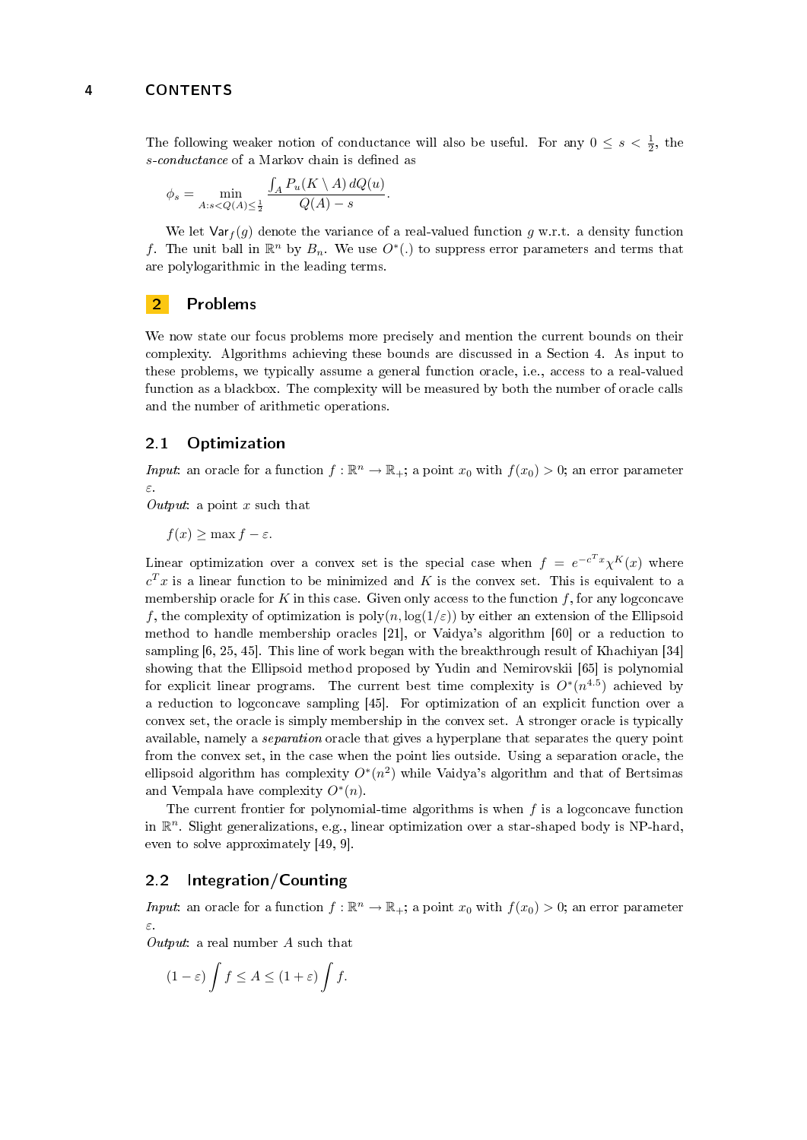The following weaker notion of conductance will also be useful. For any  $0 \le s < \frac{1}{2}$ , the s-conductance of a Markov chain is defined as

$$
\phi_s = \min_{A:s < Q(A) \le \frac{1}{2}} \frac{\int_A P_u(K \setminus A) dQ(u)}{Q(A) - s}.
$$

We let  $\text{Var}_f(g)$  denote the variance of a real-valued function g w.r.t. a density function f. The unit ball in  $\mathbb{R}^n$  by  $B_n$ . We use  $O^*(.)$  to suppress error parameters and terms that are polylogarithmic in the leading terms.

# <span id="page-3-0"></span>2 Problems

We now state our focus problems more precisely and mention the current bounds on their complexity. Algorithms achieving these bounds are discussed in a Section [4.](#page-12-1) As input to these problems, we typically assume a general function oracle, i.e., access to a real-valued function as a blackbox. The complexity will be measured by both the number of oracle calls and the number of arithmetic operations.

# <span id="page-3-1"></span>2.1 Optimization

Input: an oracle for a function  $f : \mathbb{R}^n \to \mathbb{R}_+$ ; a point  $x_0$  with  $f(x_0) > 0$ ; an error parameter ε.

Output: a point x such that

 $f(x) \geq \max f - \varepsilon$ .

Linear optimization over a convex set is the special case when  $f = e^{-c^T x} \chi^K(x)$  where  $c^T x$  is a linear function to be minimized and  $K$  is the convex set. This is equivalent to a membership oracle for  $K$  in this case. Given only access to the function  $f$ , for any logconcave f, the complexity of optimization is  $poly(n, \log(1/\varepsilon))$  by either an extension of the Ellipsoid method to handle membership oracles [\[21\]](#page-21-0), or Vaidya's algorithm [\[60\]](#page-22-0) or a reduction to sampling [\[6,](#page-20-0) [25,](#page-21-1) [45\]](#page-22-1). This line of work began with the breakthrough result of Khachiyan [\[34\]](#page-21-2) showing that the Ellipsoid method proposed by Yudin and Nemirovskii [\[65\]](#page-23-0) is polynomial for explicit linear programs. The current best time complexity is  $O^*(n^{4.5})$  achieved by a reduction to logconcave sampling [\[45\]](#page-22-1). For optimization of an explicit function over a convex set, the oracle is simply membership in the convex set. A stronger oracle is typically available, namely a separation oracle that gives a hyperplane that separates the query point from the convex set, in the case when the point lies outside. Using a separation oracle, the ellipsoid algorithm has complexity  $O^*(n^2)$  while Vaidya's algorithm and that of Bertsimas and Vempala have complexity  $O^*(n)$ .

The current frontier for polynomial-time algorithms is when  $f$  is a logconcave function in  $\mathbb{R}^n$ . Slight generalizations, e.g., linear optimization over a star-shaped body is NP-hard, even to solve approximately [\[49,](#page-22-2) [9\]](#page-20-1).

# <span id="page-3-2"></span>2.2 Integration/Counting

*Input*: an oracle for a function  $f : \mathbb{R}^n \to \mathbb{R}_+$ ; a point  $x_0$  with  $f(x_0) > 0$ ; an error parameter ε.

Output: a real number  $A$  such that

$$
(1 - \varepsilon) \int f \le A \le (1 + \varepsilon) \int f.
$$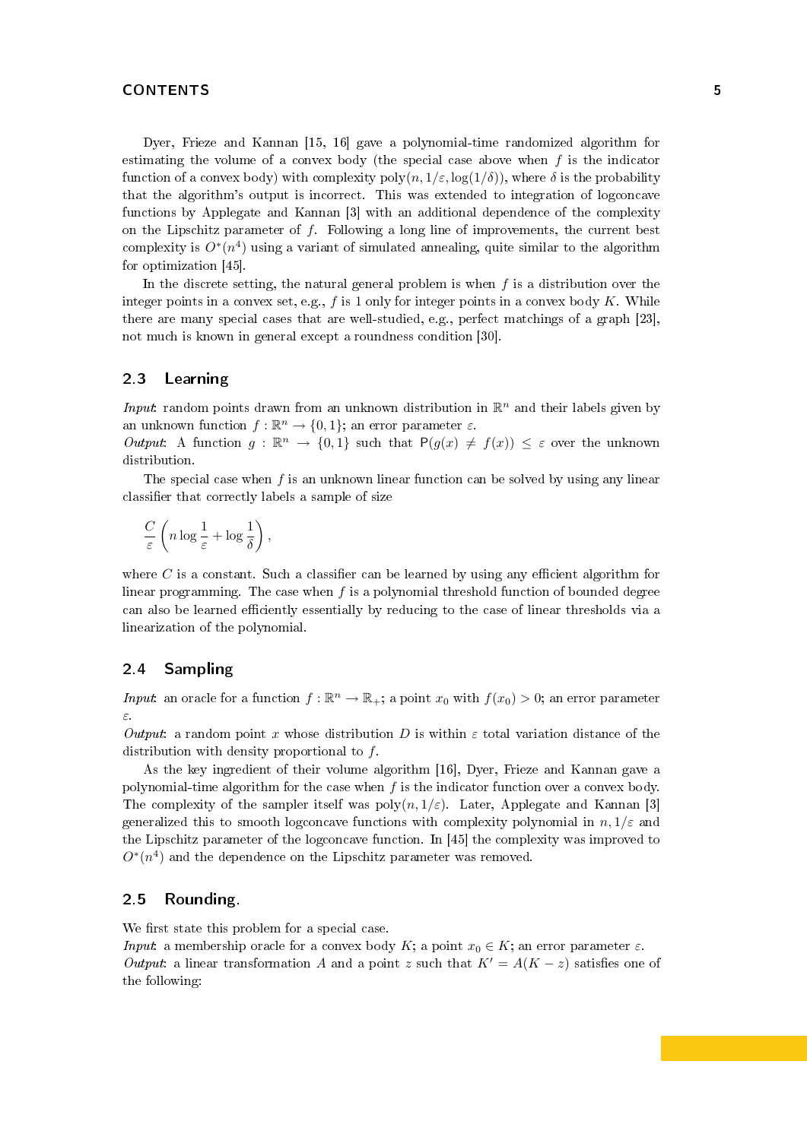Dyer, Frieze and Kannan [\[15,](#page-21-3) [16\]](#page-21-4) gave a polynomial-time randomized algorithm for estimating the volume of a convex body (the special case above when  $f$  is the indicator function of a convex body) with complexity  $\text{poly}(n, 1/\varepsilon, \log(1/\delta))$ , where  $\delta$  is the probability that the algorithm's output is incorrect. This was extended to integration of logconcave functions by Applegate and Kannan [\[3\]](#page-20-2) with an additional dependence of the complexity on the Lipschitz parameter of  $f$ . Following a long line of improvements, the current best complexity is  $O^*(n^4)$  using a variant of simulated annealing, quite similar to the algorithm for optimization [\[45\]](#page-22-1).

In the discrete setting, the natural general problem is when  $f$  is a distribution over the integer points in a convex set, e.g.,  $f$  is 1 only for integer points in a convex body  $K$ . While there are many special cases that are well-studied, e.g., perfect matchings of a graph [\[23\]](#page-21-5), not much is known in general except a roundness condition [\[30\]](#page-21-6).

# <span id="page-4-0"></span>2.3 Learning

*Input*: random points drawn from an unknown distribution in  $\mathbb{R}^n$  and their labels given by an unknown function  $f : \mathbb{R}^n \to \{0, 1\}$ ; an error parameter  $\varepsilon$ .

Output: A function  $g : \mathbb{R}^n \to \{0,1\}$  such that  $P(g(x) \neq f(x)) \leq \varepsilon$  over the unknown distribution.

The special case when  $f$  is an unknown linear function can be solved by using any linear classifier that correctly labels a sample of size

$$
\frac{C}{\varepsilon}\left(n\log \frac{1}{\varepsilon}+\log \frac{1}{\delta}\right),
$$

where  $C$  is a constant. Such a classifier can be learned by using any efficient algorithm for linear programming. The case when  $f$  is a polynomial threshold function of bounded degree can also be learned efficiently essentially by reducing to the case of linear thresholds via a linearization of the polynomial.

# <span id="page-4-1"></span>2.4 Sampling

Input: an oracle for a function  $f : \mathbb{R}^n \to \mathbb{R}_+$ ; a point  $x_0$  with  $f(x_0) > 0$ ; an error parameter ε.

Output: a random point x whose distribution D is within  $\varepsilon$  total variation distance of the distribution with density proportional to f.

As the key ingredient of their volume algorithm [\[16\]](#page-21-4), Dyer, Frieze and Kannan gave a polynomial-time algorithm for the case when  $f$  is the indicator function over a convex body. The complexity of the sampler itself was  $\text{poly}(n, 1/\varepsilon)$ . Later, Applegate and Kannan [\[3\]](#page-20-2) generalized this to smooth logconcave functions with complexity polynomial in  $n, 1/\varepsilon$  and the Lipschitz parameter of the logconcave function. In [\[45\]](#page-22-1) the complexity was improved to  $O^*(n^4)$  and the dependence on the Lipschitz parameter was removed.

# <span id="page-4-2"></span>2.5 Rounding.

We first state this problem for a special case.

*Input*: a membership oracle for a convex body K; a point  $x_0 \in K$ ; an error parameter  $\varepsilon$ . Output: a linear transformation A and a point z such that  $K' = A(K - z)$  satisfies one of the following: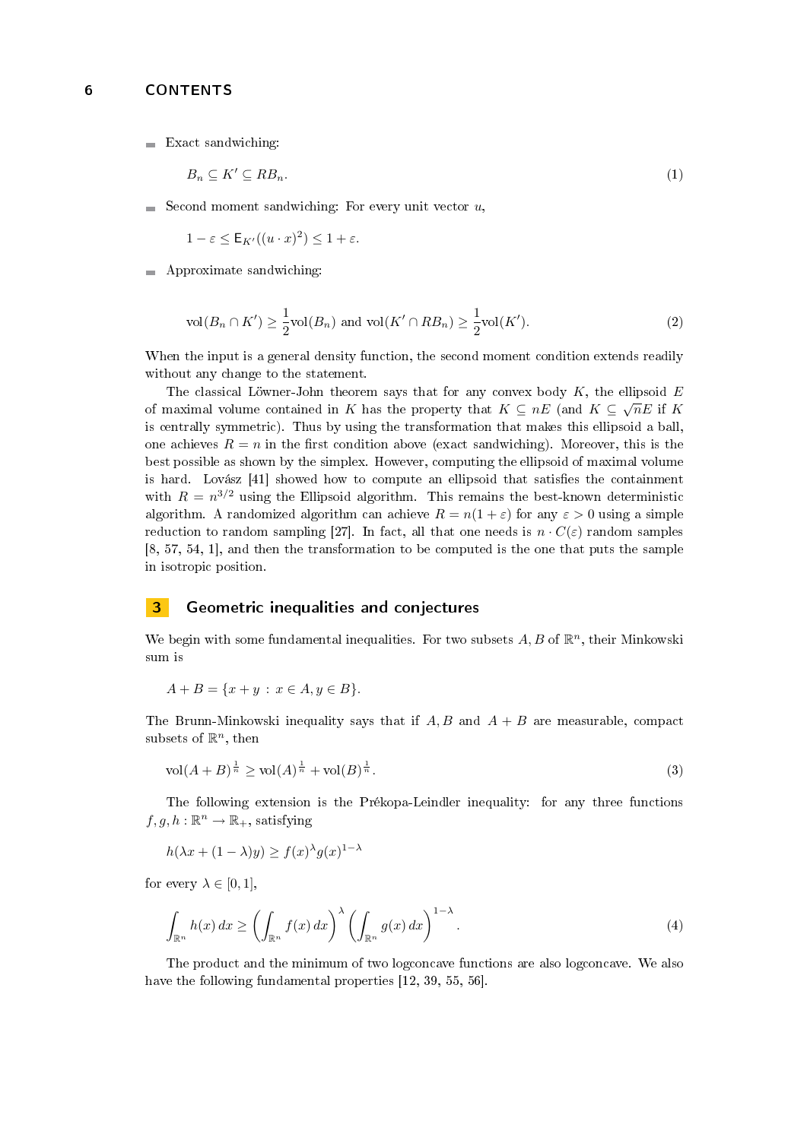$\blacksquare$  Exact sandwiching:

<span id="page-5-1"></span>
$$
B_n \subseteq K' \subseteq RB_n. \tag{1}
$$

Second moment sandwiching: For every unit vector  $u$ ,  $\blacksquare$ 

 $1-\varepsilon \leq \mathsf{E}_{K'}((u \cdot x)^2) \leq 1+\varepsilon.$ 

**Approximate sandwiching:** 

$$
\text{vol}(B_n \cap K') \ge \frac{1}{2}\text{vol}(B_n) \text{ and } \text{vol}(K' \cap RB_n) \ge \frac{1}{2}\text{vol}(K').\tag{2}
$$

When the input is a general density function, the second moment condition extends readily without any change to the statement.

The classical Löwner-John theorem says that for any convex body  $K$ , the ellipsoid  $E$ of maximal volume contained in K has the property that  $K \subseteq nE$  (and  $K \subseteq \sqrt{nE}$  if K is centrally symmetric). Thus by using the transformation that makes this ellipsoid a ball, one achieves  $R = n$  in the first condition above (exact sandwiching). Moreover, this is the best possible as shown by the simplex. However, computing the ellipsoid of maximal volume is hard. Lovász  $[41]$  showed how to compute an ellipsoid that satisfies the containment with  $R = n^{3/2}$  using the Ellipsoid algorithm. This remains the best-known deterministic algorithm. A randomized algorithm can achieve  $R = n(1 + \varepsilon)$  for any  $\varepsilon > 0$  using a simple reduction to random sampling [\[27\]](#page-21-7). In fact, all that one needs is  $n \cdot C(\varepsilon)$  random samples [\[8,](#page-20-3) [57,](#page-22-4) [54,](#page-22-5) [1\]](#page-20-4), and then the transformation to be computed is the one that puts the sample in isotropic position.

# <span id="page-5-0"></span>**3** Geometric inequalities and conjectures

We begin with some fundamental inequalities. For two subsets  $A, B$  of  $\mathbb{R}^n$ , their Minkowski sum is

$$
A + B = \{x + y : x \in A, y \in B\}.
$$

The Brunn-Minkowski inequality says that if  $A, B$  and  $A + B$  are measurable, compact subsets of  $\mathbb{R}^n$ , then

$$
\text{vol}(A+B)^{\frac{1}{n}} \ge \text{vol}(A)^{\frac{1}{n}} + \text{vol}(B)^{\frac{1}{n}}.\tag{3}
$$

The following extension is the Prékopa-Leindler inequality: for any three functions  $f, g, h : \mathbb{R}^n \to \mathbb{R}_+$ , satisfying

$$
h(\lambda x + (1 - \lambda)y) \ge f(x)^{\lambda} g(x)^{1 - \lambda}
$$

for every  $\lambda \in [0, 1]$ ,

$$
\int_{\mathbb{R}^n} h(x) dx \ge \left( \int_{\mathbb{R}^n} f(x) dx \right)^{\lambda} \left( \int_{\mathbb{R}^n} g(x) dx \right)^{1-\lambda}.
$$
\n(4)

The product and the minimum of two logconcave functions are also logconcave. We also have the following fundamental properties [\[12,](#page-20-5) [39,](#page-21-8) [55,](#page-22-6) [56\]](#page-22-7).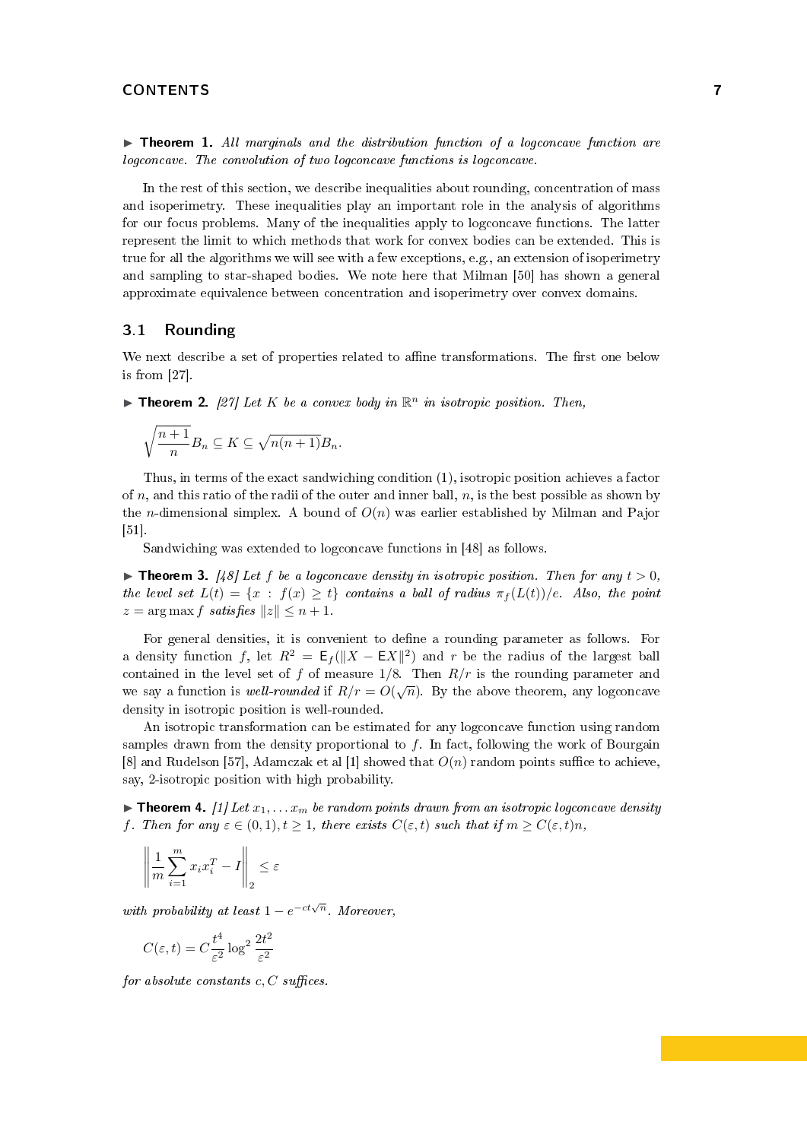$\blacktriangleright$  Theorem 1. All marginals and the distribution function of a logconcave function are logconcave. The convolution of two logconcave functions is logconcave.

In the rest of this section, we describe inequalities about rounding, concentration of mass and isoperimetry. These inequalities play an important role in the analysis of algorithms for our focus problems. Many of the inequalities apply to logconcave functions. The latter represent the limit to which methods that work for convex bodies can be extended. This is true for all the algorithms we will see with a few exceptions, e.g., an extension of isoperimetry and sampling to star-shaped bodies. We note here that Milman [\[50\]](#page-22-8) has shown a general approximate equivalence between concentration and isoperimetry over convex domains.

# <span id="page-6-0"></span>3.1 Rounding

We next describe a set of properties related to affine transformations. The first one below is from [\[27\]](#page-21-7).

**Theorem 2.** [\[27\]](#page-21-7) Let K be a convex body in  $\mathbb{R}^n$  in isotropic position. Then,

$$
\sqrt{\frac{n+1}{n}}B_n \subseteq K \subseteq \sqrt{n(n+1)}B_n.
$$

Thus, in terms of the exact sandwiching condition [\(1\)](#page-5-1), isotropic position achieves a factor of  $n$ , and this ratio of the radii of the outer and inner ball,  $n$ , is the best possible as shown by the *n*-dimensional simplex. A bound of  $O(n)$  was earlier established by Milman and Pajor [\[51\]](#page-22-9).

Sandwiching was extended to logconcave functions in [\[48\]](#page-22-10) as follows.

**Integral 3.** [\[48\]](#page-22-10) Let f be a logconcave density in isotropic position. Then for any  $t > 0$ , the level set  $L(t) = \{x : f(x) \ge t\}$  contains a ball of radius  $\pi_f(L(t))/e$ . Also, the point  $z = \arg \max f \; satisfies \; ||z|| \leq n + 1.$ 

For general densities, it is convenient to define a rounding parameter as follows. For a density function f, let  $R^2 = \mathsf{E}_f(||X - \mathsf{E}X||^2)$  and r be the radius of the largest ball contained in the level set of f of measure  $1/8$ . Then  $R/r$  is the rounding parameter and we say a function is well-rounded if  $R/r = O(\sqrt{n})$ . By the above theorem, any logconcave density in isotropic position is well-rounded.

An isotropic transformation can be estimated for any logconcave function using random samples drawn from the density proportional to  $f$ . In fact, following the work of Bourgain [\[8\]](#page-20-3) and Rudelson [\[57\]](#page-22-4), Adamczak et al [\[1\]](#page-20-4) showed that  $O(n)$  random points suffice to achieve, say, 2-isotropic position with high probability.

<span id="page-6-1"></span>**Integramment 4.** [\[1\]](#page-20-4) Let  $x_1, \ldots, x_m$  be random points drawn from an isotropic logconcave density f. Then for any  $\varepsilon \in (0,1), t \geq 1$ , there exists  $C(\varepsilon, t)$  such that if  $m \geq C(\varepsilon, t)n$ ,

$$
\left\| \frac{1}{m} \sum_{i=1}^{m} x_i x_i^T - I \right\|_2 \le \varepsilon
$$

with probability at least  $1-e^{-ct\sqrt{n}}$ . Moreover,

$$
C(\varepsilon, t) = C \frac{t^4}{\varepsilon^2} \log^2 \frac{2t^2}{\varepsilon^2}
$$

for absolute constants  $c, C$  suffices.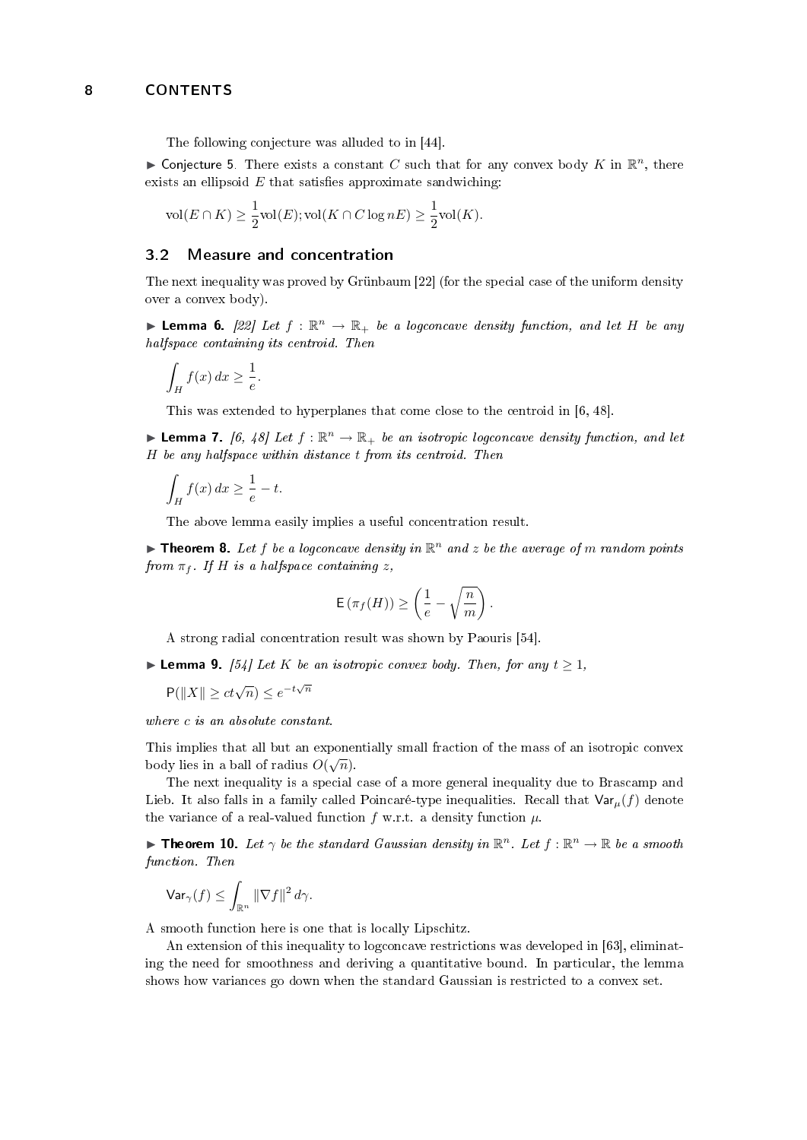The following conjecture was alluded to in [\[44\]](#page-22-11).

► Conjecture 5. There exists a constant C such that for any convex body K in  $\mathbb{R}^n$ , there exists an ellipsoid  $E$  that satisfies approximate sandwiching:

$$
\text{vol}(E \cap K) \ge \frac{1}{2} \text{vol}(E); \text{vol}(K \cap C \log nE) \ge \frac{1}{2} \text{vol}(K).
$$

#### <span id="page-7-0"></span>3.2 Measure and concentration

The next inequality was proved by Grünbaum [\[22\]](#page-21-9) (for the special case of the uniform density over a convex body).

**Lemma 6.** [\[22\]](#page-21-9) Let  $f : \mathbb{R}^n \to \mathbb{R}_+$  be a logconcave density function, and let H be any halfspace containing its centroid. Then

$$
\int_H f(x) \, dx \ge \frac{1}{e}.
$$

This was extended to hyperplanes that come close to the centroid in [\[6,](#page-20-0) [48\]](#page-22-10).

**Lemma 7.** [\[6,](#page-20-0) [48\]](#page-22-10) Let  $f : \mathbb{R}^n \to \mathbb{R}_+$  be an isotropic logconcave density function, and let H be any halfspace within distance t from its centroid. Then

$$
\int_H f(x) \, dx \ge \frac{1}{e} - t.
$$

The above lemma easily implies a useful concentration result.

**Theorem 8.** Let f be a logconcave density in  $\mathbb{R}^n$  and z be the average of m random points from  $\pi_f$ . If H is a halfspace containing z,

$$
\mathsf{E}\left(\pi_f(H)\right) \geq \left(\frac{1}{e} - \sqrt{\frac{n}{m}}\right).
$$

A strong radial concentration result was shown by Paouris [\[54\]](#page-22-5).

► Lemma 9. [\[54\]](#page-22-5) Let K be an isotropic convex body. Then, for any  $t \geq 1$ ,

 $P(||X|| \ge ct\sqrt{n}) \le e^{-t\sqrt{n}}$ 

where c is an absolute constant.

This implies that all but an exponentially small fraction of the mass of an isotropic convex This implies that all out all exponent body lies in a ball of radius  $O(\sqrt{n})$ .

The next inequality is a special case of a more general inequality due to Brascamp and Lieb. It also falls in a family called Poincaré-type inequalities. Recall that  $\text{Var}_{\mu}(f)$  denote the variance of a real-valued function f w.r.t. a density function  $\mu$ .

**Theorem 10.** Let  $\gamma$  be the standard Gaussian density in  $\mathbb{R}^n$ . Let  $f : \mathbb{R}^n \to \mathbb{R}$  be a smooth function. Then

$$
\text{Var}_{\gamma}(f) \leq \int_{\mathbb{R}^n} \|\nabla f\|^2 \, d\gamma.
$$

A smooth function here is one that is locally Lipschitz.

<span id="page-7-1"></span>An extension of this inequality to logconcave restrictions was developed in [\[63\]](#page-22-12), eliminating the need for smoothness and deriving a quantitative bound. In particular, the lemma shows how variances go down when the standard Gaussian is restricted to a convex set.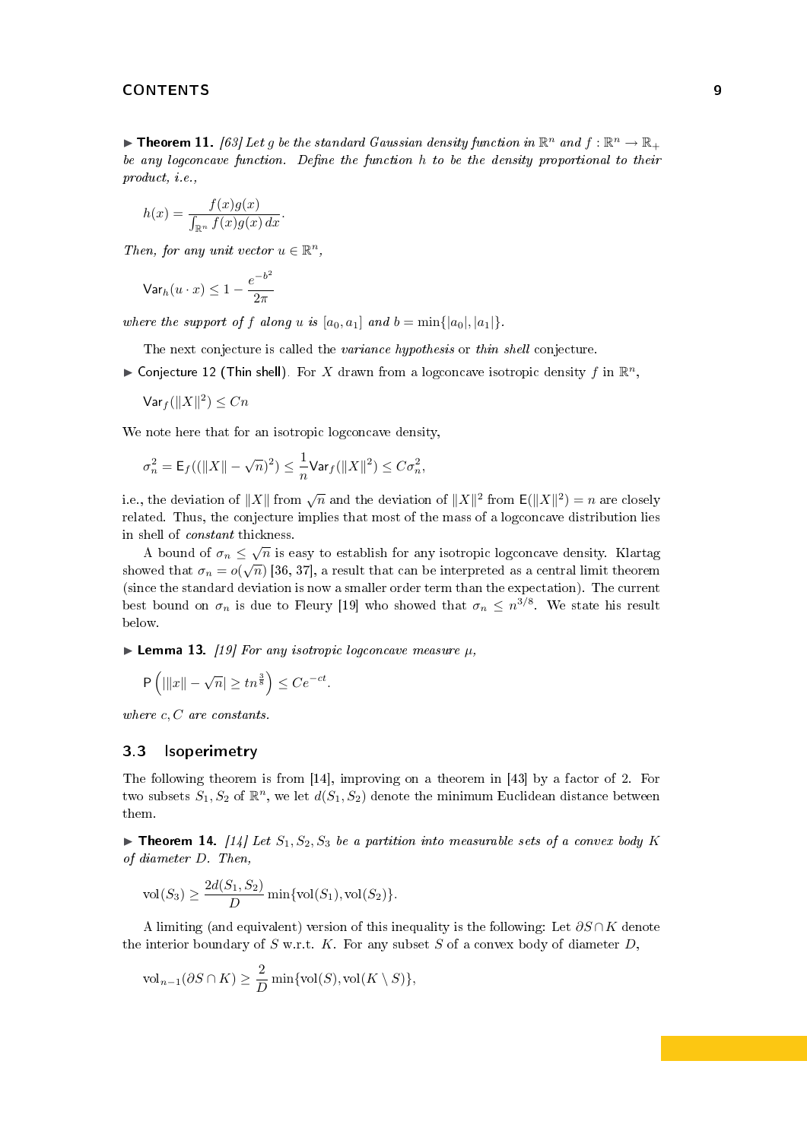**Theorem 11.** [\[63\]](#page-22-12) Let g be the standard Gaussian density function in  $\mathbb{R}^n$  and  $f : \mathbb{R}^n \to \mathbb{R}_+$ be any logconcave function. Define the function  $h$  to be the density proportional to their product, i.e.,

$$
h(x) = \frac{f(x)g(x)}{\int_{\mathbb{R}^n} f(x)g(x) dx}.
$$

Then, for any unit vector  $u \in \mathbb{R}^n$ ,

$$
\mathsf{Var}_h(u \cdot x) \leq 1 - \frac{e^{-b^2}}{2\pi}
$$

where the support of f along u is  $[a_0, a_1]$  and  $b = \min\{|a_0|, |a_1|\}.$ 

The next conjecture is called the *variance hypothesis* or *thin shell* conjecture.

<span id="page-8-2"></span>• Conjecture 12 (Thin shell). For X drawn from a logconcave isotropic density f in  $\mathbb{R}^n$ ,

 $\mathsf{Var}_f(\|X\|^2) \le Cn$ 

We note here that for an isotropic logconcave density,

$$
\sigma_n^2 = \mathsf{E}_f((\|X\|-\sqrt{n})^2) \leq \frac{1}{n}\mathsf{Var}_f(\|X\|^2) \leq C\sigma_n^2,
$$

i.e., the deviation of  $||X||$  from  $\sqrt{n}$  and the deviation of  $||X||^2$  from  $\mathsf{E}(\|X\|^2) = n$  are closely related. Thus, the conjecture implies that most of the mass of a logconcave distribution lies in shell of constant thickness.

A bound of  $\sigma_n \leq \sqrt{n}$  is easy to establish for any isotropic logconcave density. Klartag showed that  $\sigma_n=o(\sqrt{n})$  [\[36,](#page-21-10) [37\]](#page-21-11), a result that can be interpreted as a central limit theorem (since the standard deviation is now a smaller order term than the expectation). The current best bound on  $\sigma_n$  is due to Fleury [\[19\]](#page-21-12) who showed that  $\sigma_n \leq n^{3/8}$ . We state his result below.

<span id="page-8-3"></span>**Lemma 13.** [\[19\]](#page-21-12) For any isotropic logconcave measure  $\mu$ ,

$$
\mathsf{P}\left(|||x|| - \sqrt{n}| \ge tn^{\frac{3}{8}}\right) \le Ce^{-ct}.
$$

where  $c, C$  are constants.

#### <span id="page-8-0"></span>3.3 Isoperimetry

The following theorem is from [\[14\]](#page-21-13), improving on a theorem in [\[43\]](#page-22-13) by a factor of 2. For two subsets  $S_1, S_2$  of  $\mathbb{R}^n$ , we let  $d(S_1, S_2)$  denote the minimum Euclidean distance between them.

<span id="page-8-1"></span>**Integral 14.** [\[14\]](#page-21-13) Let  $S_1, S_2, S_3$  be a partition into measurable sets of a convex body K of diameter D. Then,

$$
vol(S_3) \ge \frac{2d(S_1, S_2)}{D} \min\{vol(S_1), vol(S_2)\}.
$$

A limiting (and equivalent) version of this inequality is the following: Let  $\partial S \cap K$  denote the interior boundary of  $S$  w.r.t.  $K$ . For any subset  $S$  of a convex body of diameter  $D$ ,

$$
\text{vol}_{n-1}(\partial S \cap K) \ge \frac{2}{D} \min\{\text{vol}(S), \text{vol}(K \setminus S)\},\
$$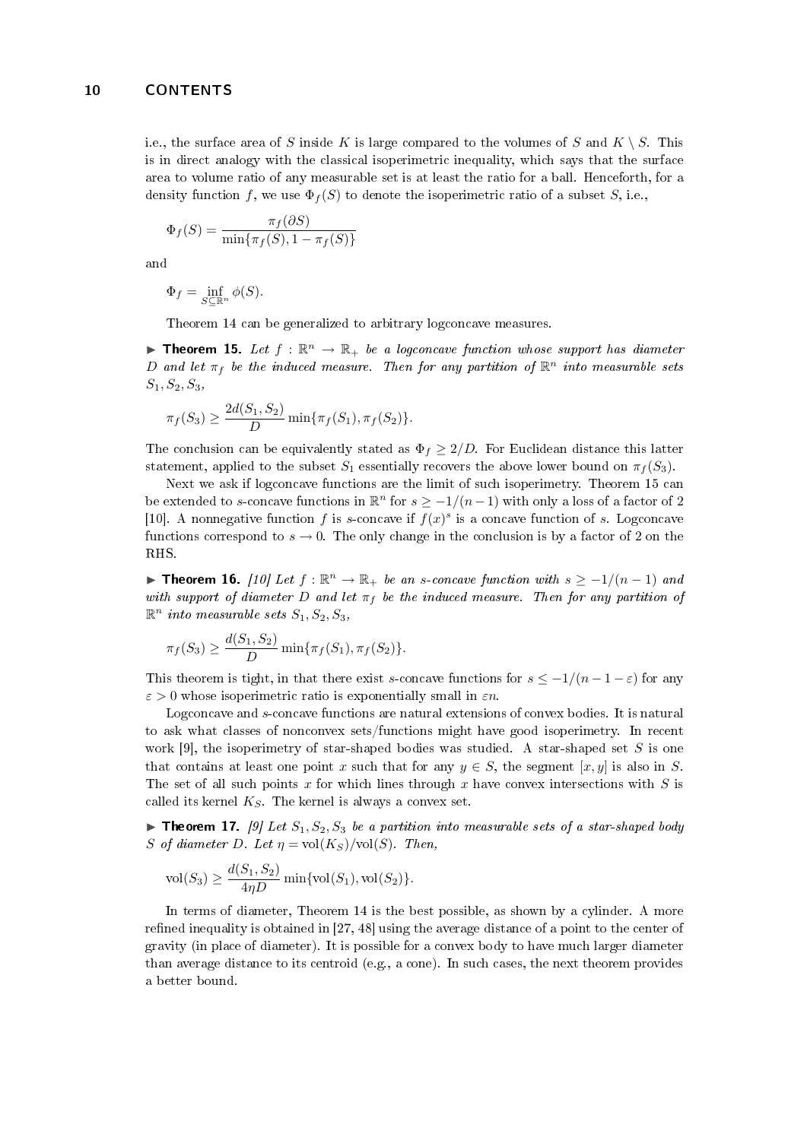i.e., the surface area of S inside K is large compared to the volumes of S and  $K \setminus S$ . This is in direct analogy with the classical isoperimetric inequality, which says that the surface area to volume ratio of any measurable set is at least the ratio for a ball. Henceforth, for a density function f, we use  $\Phi_f(S)$  to denote the isoperimetric ratio of a subset S, i.e.,

$$
\Phi_f(S) = \frac{\pi_f(\partial S)}{\min\{\pi_f(S), 1 - \pi_f(S)\}}
$$

and

$$
\Phi_f = \inf_{S \subseteq \mathbb{R}^n} \phi(S).
$$

Theorem [14](#page-8-1) can be generalized to arbitrary logconcave measures.

<span id="page-9-0"></span>**Theorem 15.** Let  $f : \mathbb{R}^n \to \mathbb{R}_+$  be a logconcave function whose support has diameter D and let  $\pi_f$  be the induced measure. Then for any partition of  $\mathbb{R}^n$  into measurable sets  $S_1, S_2, S_3,$ 

$$
\pi_f(S_3) \ge \frac{2d(S_1, S_2)}{D} \min{\{\pi_f(S_1), \pi_f(S_2)\}}.
$$

The conclusion can be equivalently stated as  $\Phi_f \geq 2/D$ . For Euclidean distance this latter statement, applied to the subset  $S_1$  essentially recovers the above lower bound on  $\pi_f(S_3)$ .

Next we ask if logconcave functions are the limit of such isoperimetry. Theorem [15](#page-9-0) can be extended to s-concave functions in  $\mathbb{R}^n$  for  $s \geq -1/(n-1)$  with only a loss of a factor of 2 [\[10\]](#page-20-6). A nonnegative function f is s-concave if  $f(x)^s$  is a concave function of s. Logconcave functions correspond to  $s \to 0$ . The only change in the conclusion is by a factor of 2 on the RHS.

**► Theorem 16.** [\[10\]](#page-20-6) Let  $f : \mathbb{R}^n \to \mathbb{R}_+$  be an s-concave function with  $s \geq -1/(n-1)$  and with support of diameter D and let  $\pi_f$  be the induced measure. Then for any partition of  $\mathbb{R}^n$  into measurable sets  $S_1, S_2, S_3,$ 

$$
\pi_f(S_3) \ge \frac{d(S_1, S_2)}{D} \min{\pi_f(S_1), \pi_f(S_2)}.
$$

This theorem is tight, in that there exist s-concave functions for  $s \leq -1/(n-1-\varepsilon)$  for any  $\varepsilon > 0$  whose isoperimetric ratio is exponentially small in  $\varepsilon n$ .

Logconcave and s-concave functions are natural extensions of convex bodies. It is natural to ask what classes of nonconvex sets/functions might have good isoperimetry. In recent work [\[9\]](#page-20-1), the isoperimetry of star-shaped bodies was studied. A star-shaped set S is one that contains at least one point x such that for any  $y \in S$ , the segment [x, y] is also in S. The set of all such points x for which lines through x have convex intersections with  $S$  is called its kernel  $K_S$ . The kernel is always a convex set.

<span id="page-9-2"></span>**Integral 17.** [\[9\]](#page-20-1) Let  $S_1, S_2, S_3$  be a partition into measurable sets of a star-shaped body S of diameter D. Let  $\eta = vol(K_S)/vol(S)$ . Then,

$$
\text{vol}(S_3) \ge \frac{d(S_1, S_2)}{4\eta D} \min\{\text{vol}(S_1), \text{vol}(S_2)\}.
$$

<span id="page-9-1"></span>In terms of diameter, Theorem [14](#page-8-1) is the best possible, as shown by a cylinder. A more refined inequality is obtained in  $[27, 48]$  $[27, 48]$  using the average distance of a point to the center of gravity (in place of diameter). It is possible for a convex body to have much larger diameter than average distance to its centroid (e.g., a cone). In such cases, the next theorem provides a better bound.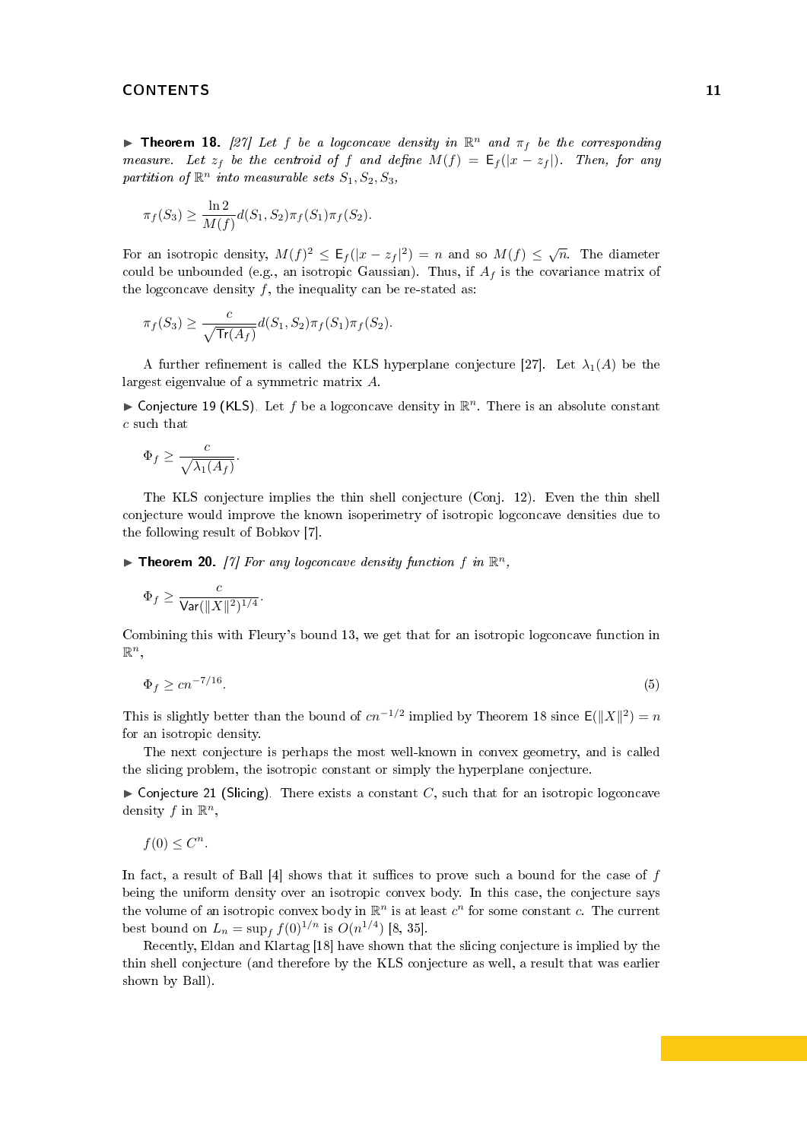**Theorem 18.** [\[27\]](#page-21-7) Let f be a logconcave density in  $\mathbb{R}^n$  and  $\pi_f$  be the corresponding measure. Let  $z_f$  be the centroid of f and define  $M(f) = \mathsf{E}_f(|x - z_f|)$ . Then, for any partition of  $\mathbb{R}^n$  into measurable sets  $S_1, S_2, S_3$ ,

$$
\pi_f(S_3) \ge \frac{\ln 2}{M(f)} d(S_1, S_2) \pi_f(S_1) \pi_f(S_2).
$$

For an isotropic density,  $M(f)^2 \leq \mathsf{E}_f(|x-z_f|^2) = n$  and so  $M(f) \leq \sqrt{n}$ . The diameter could be unbounded (e.g., an isotropic Gaussian). Thus, if  $A_f$  is the covariance matrix of the logconcave density  $f$ , the inequality can be re-stated as:

$$
\pi_f(S_3) \ge \frac{c}{\sqrt{\text{Tr}(A_f)}} d(S_1, S_2) \pi_f(S_1) \pi_f(S_2).
$$

A further refinement is called the KLS hyperplane conjecture [\[27\]](#page-21-7). Let  $\lambda_1(A)$  be the largest eigenvalue of a symmetric matrix A.

<span id="page-10-2"></span>▶ Conjecture 19 (KLS). Let f be a logconcave density in  $\mathbb{R}^n$ . There is an absolute constant c such that

$$
\Phi_f \ge \frac{c}{\sqrt{\lambda_1(A_f)}}.
$$

The KLS conjecture implies the thin shell conjecture (Conj. [12\)](#page-8-2). Even the thin shell conjecture would improve the known isoperimetry of isotropic logconcave densities due to the following result of Bobkov [\[7\]](#page-20-7).

<span id="page-10-0"></span>**Theorem 20.** [\[7\]](#page-20-7) For any logconcave density function f in  $\mathbb{R}^n$ ,

$$
\Phi_f \ge \frac{c}{\text{Var}(\|X\|^2)^{1/4}}.
$$

<span id="page-10-1"></span>Combining this with Fleury's bound [13,](#page-8-3) we get that for an isotropic logconcave function in  $\mathbb{R}^n$ 

$$
\Phi_f \ge c n^{-7/16}.\tag{5}
$$

This is slightly better than the bound of  $cn^{-1/2}$  implied by Theorem [18](#page-9-1) since  $\mathsf{E}(\|X\|^2) = n$ for an isotropic density.

The next conjecture is perhaps the most well-known in convex geometry, and is called the slicing problem, the isotropic constant or simply the hyperplane conjecture.

 $\triangleright$  Conjecture 21 (Slicing). There exists a constant C, such that for an isotropic logconcave density  $f$  in  $\mathbb{R}^n$ ,

$$
f(0) \leq C^n.
$$

In fact, a result of Ball  $[4]$  shows that it suffices to prove such a bound for the case of f being the uniform density over an isotropic convex body. In this case, the conjecture says the volume of an isotropic convex body in  $\mathbb{R}^n$  is at least  $c^n$  for some constant  $c$ . The current best bound on  $L_n = \sup_f f(0)^{1/n}$  is  $O(n^{1/4})$  [\[8,](#page-20-3) [35\]](#page-21-14).

Recently, Eldan and Klartag [\[18\]](#page-21-15) have shown that the slicing conjecture is implied by the thin shell conjecture (and therefore by the KLS conjecture as well, a result that was earlier shown by Ball).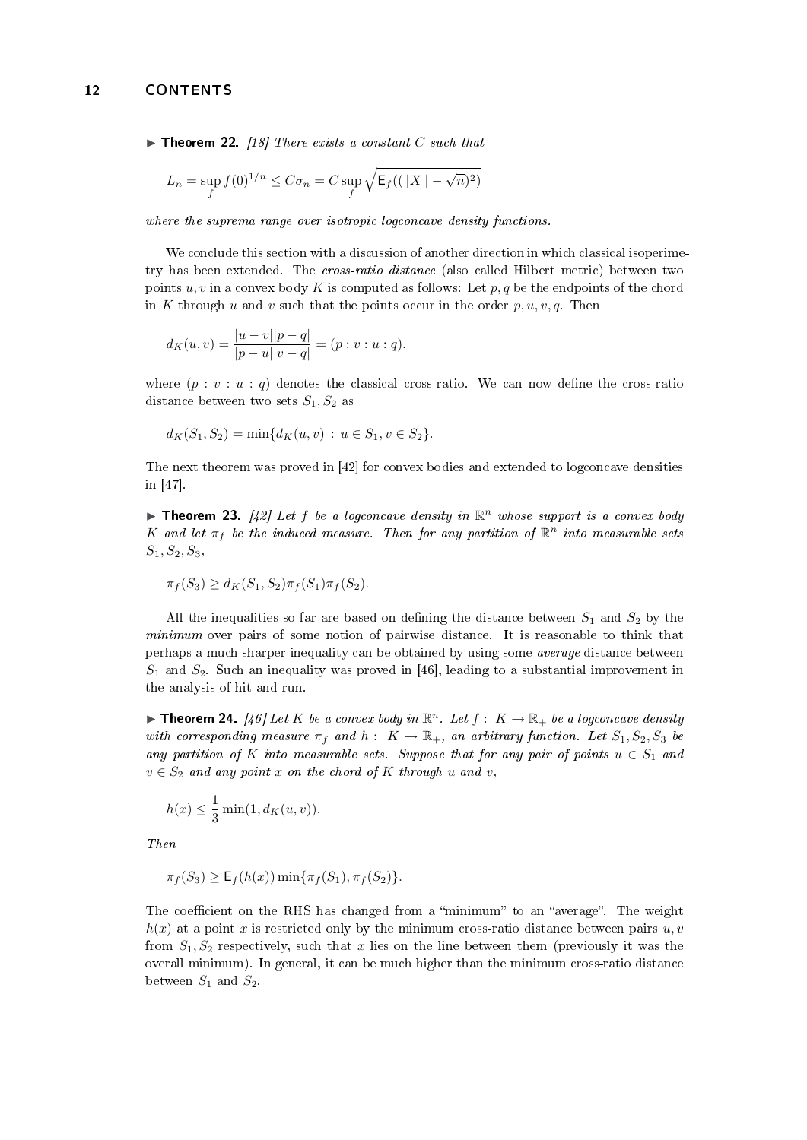$\triangleright$  Theorem 22. [\[18\]](#page-21-15) There exists a constant C such that

$$
L_n = \sup_f f(0)^{1/n} \le C\sigma_n = C \sup_f \sqrt{\mathsf{E}_f((\|X\| - \sqrt{n})^2)}
$$

where the suprema range over isotropic logconcave density functions.

We conclude this section with a discussion of another direction in which classical isoperimetry has been extended. The *cross-ratio distance* (also called Hilbert metric) between two points  $u, v$  in a convex body K is computed as follows: Let  $p, q$  be the endpoints of the chord in K through u and v such that the points occur in the order  $p, u, v, q$ . Then

$$
d_K(u,v) = \frac{|u-v||p-q|}{|p-u||v-q|} = (p:v:u:q).
$$

where  $(p : v : u : q)$  denotes the classical cross-ratio. We can now define the cross-ratio distance between two sets  $S_1, S_2$  as

$$
d_K(S_1, S_2) = \min\{d_K(u, v) : u \in S_1, v \in S_2\}.
$$

The next theorem was proved in [\[42\]](#page-22-14) for convex bodies and extended to logconcave densities in [\[47\]](#page-22-15).

**Theorem 23.** [\[42\]](#page-22-14) Let f be a logconcave density in  $\mathbb{R}^n$  whose support is a convex body K and let  $\pi_f$  be the induced measure. Then for any partition of  $\mathbb{R}^n$  into measurable sets  $S_1, S_2, S_3,$ 

$$
\pi_f(S_3) \ge d_K(S_1, S_2) \pi_f(S_1) \pi_f(S_2).
$$

All the inequalities so far are based on defining the distance between  $S_1$  and  $S_2$  by the minimum over pairs of some notion of pairwise distance. It is reasonable to think that perhaps a much sharper inequality can be obtained by using some average distance between  $S_1$  and  $S_2$ . Such an inequality was proved in [\[46\]](#page-22-16), leading to a substantial improvement in the analysis of hit-and-run.

<span id="page-11-0"></span>**Theorem 24.** [\[46\]](#page-22-16) Let K be a convex body in  $\mathbb{R}^n$ . Let  $f: K \to \mathbb{R}_+$  be a logconcave density with corresponding measure  $\pi_f$  and  $h: K \to \mathbb{R}_+$ , an arbitrary function. Let  $S_1, S_2, S_3$  be any partition of K into measurable sets. Suppose that for any pair of points  $u \in S_1$  and  $v \in S_2$  and any point x on the chord of K through u and v,

$$
h(x) \le \frac{1}{3} \min(1, d_K(u, v)).
$$

Then

$$
\pi_f(S_3) \ge \mathsf{E}_f(h(x)) \min \{ \pi_f(S_1), \pi_f(S_2) \}.
$$

The coefficient on the RHS has changed from a "minimum" to an "average". The weight  $h(x)$  at a point x is restricted only by the minimum cross-ratio distance between pairs  $u, v$ from  $S_1, S_2$  respectively, such that x lies on the line between them (previously it was the overall minimum). In general, it can be much higher than the minimum cross-ratio distance between  $S_1$  and  $S_2$ .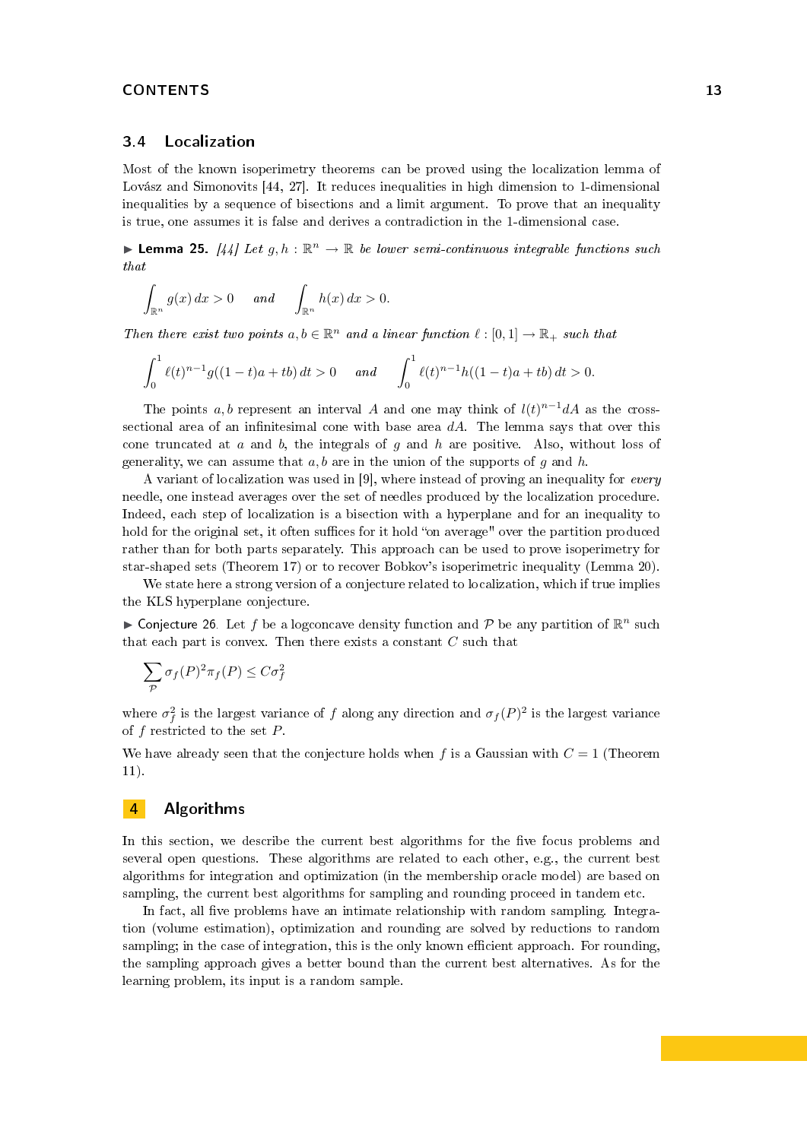## <span id="page-12-0"></span>3.4 Localization

Most of the known isoperimetry theorems can be proved using the localization lemma of Lovász and Simonovits [\[44,](#page-22-11) [27\]](#page-21-7). It reduces inequalities in high dimension to 1-dimensional inequalities by a sequence of bisections and a limit argument. To prove that an inequality is true, one assumes it is false and derives a contradiction in the 1-dimensional case.

**Lemma 25.** [\[44\]](#page-22-11) Let  $g, h : \mathbb{R}^n \to \mathbb{R}$  be lower semi-continuous integrable functions such that

$$
\int_{\mathbb{R}^n} g(x) dx > 0 \quad \text{and} \quad \int_{\mathbb{R}^n} h(x) dx > 0.
$$

Then there exist two points  $a, b \in \mathbb{R}^n$  and a linear function  $\ell : [0, 1] \to \mathbb{R}_+$  such that

$$
\int_0^1 \ell(t)^{n-1} g((1-t)a + tb) dt > 0 \quad and \quad \int_0^1 \ell(t)^{n-1} h((1-t)a + tb) dt > 0.
$$

The points a, b represent an interval A and one may think of  $l(t)^{n-1}dA$  as the crosssectional area of an infinitesimal cone with base area  $dA$ . The lemma says that over this cone truncated at  $a$  and  $b$ , the integrals of  $g$  and  $h$  are positive. Also, without loss of generality, we can assume that  $a, b$  are in the union of the supports of g and h.

A variant of localization was used in [\[9\]](#page-20-1), where instead of proving an inequality for every needle, one instead averages over the set of needles produced by the localization procedure. Indeed, each step of localization is a bisection with a hyperplane and for an inequality to hold for the original set, it often suffices for it hold "on average" over the partition produced rather than for both parts separately. This approach can be used to prove isoperimetry for star-shaped sets (Theorem [17\)](#page-9-2) or to recover Bobkov's isoperimetric inequality (Lemma [20\)](#page-10-0).

We state here a strong version of a conjecture related to localization, which if true implies the KLS hyperplane conjecture.

► Conjecture 26. Let f be a logconcave density function and  $P$  be any partition of  $\mathbb{R}^n$  such that each part is convex. Then there exists a constant C such that

$$
\sum_{\mathcal{P}} \sigma_f(P)^2 \pi_f(P) \le C \sigma_f^2
$$

where  $\sigma_f^2$  is the largest variance of f along any direction and  $\sigma_f(P)^2$  is the largest variance of  $f$  restricted to the set  $P$ .

We have already seen that the conjecture holds when f is a Gaussian with  $C = 1$  (Theorem [11\)](#page-7-1).

# <span id="page-12-1"></span>4 Algorithms

In this section, we describe the current best algorithms for the five focus problems and several open questions. These algorithms are related to each other, e.g., the current best algorithms for integration and optimization (in the membership oracle model) are based on sampling, the current best algorithms for sampling and rounding proceed in tandem etc.

In fact, all five problems have an intimate relationship with random sampling. Integration (volume estimation), optimization and rounding are solved by reductions to random sampling; in the case of integration, this is the only known efficient approach. For rounding, the sampling approach gives a better bound than the current best alternatives. As for the learning problem, its input is a random sample.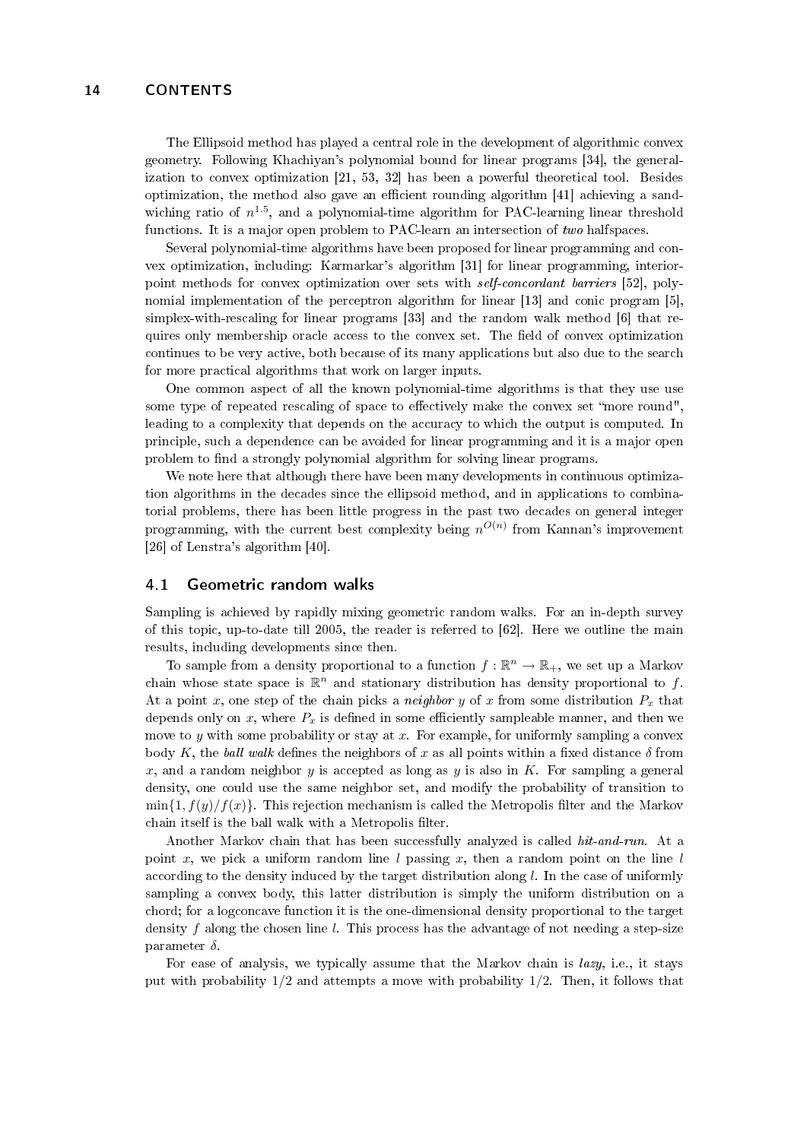The Ellipsoid method has played a central role in the development of algorithmic convex geometry. Following Khachiyan's polynomial bound for linear programs [\[34\]](#page-21-2), the generalization to convex optimization [\[21,](#page-21-0) [53,](#page-22-17) [32\]](#page-21-16) has been a powerful theoretical tool. Besides optimization, the method also gave an efficient rounding algorithm  $[41]$  achieving a sandwiching ratio of  $n^{1.5}$ , and a polynomial-time algorithm for PAC-learning linear threshold functions. It is a major open problem to PAC-learn an intersection of two halfspaces.

Several polynomial-time algorithms have been proposed for linear programming and convex optimization, including: Karmarkar's algorithm [\[31\]](#page-21-17) for linear programming, interiorpoint methods for convex optimization over sets with self-concordant barriers [\[52\]](#page-22-18), polynomial implementation of the perceptron algorithm for linear [\[13\]](#page-20-9) and conic program [\[5\]](#page-20-10), simplex-with-rescaling for linear programs [\[33\]](#page-21-18) and the random walk method [\[6\]](#page-20-0) that requires only membership oracle access to the convex set. The field of convex optimization continues to be very active, both because of its many applications but also due to the search for more practical algorithms that work on larger inputs.

One common aspect of all the known polynomial-time algorithms is that they use use some type of repeated rescaling of space to effectively make the convex set "more round", leading to a complexity that depends on the accuracy to which the output is computed. In principle, such a dependence can be avoided for linear programming and it is a major open problem to find a strongly polynomial algorithm for solving linear programs.

We note here that although there have been many developments in continuous optimization algorithms in the decades since the ellipsoid method, and in applications to combinatorial problems, there has been little progress in the past two decades on general integer programming, with the current best complexity being  $n^{O(n)}$  from Kannan's improvement [\[26\]](#page-21-19) of Lenstra's algorithm [\[40\]](#page-22-19).

#### <span id="page-13-0"></span>4.1 Geometric random walks

Sampling is achieved by rapidly mixing geometric random walks. For an in-depth survey of this topic, up-to-date till 2005, the reader is referred to [\[62\]](#page-22-20). Here we outline the main results, including developments since then.

To sample from a density proportional to a function  $f : \mathbb{R}^n \to \mathbb{R}_+$ , we set up a Markov chain whose state space is  $\mathbb{R}^n$  and stationary distribution has density proportional to f. At a point x, one step of the chain picks a *neighbor* y of x from some distribution  $P_x$  that depends only on x, where  $P_x$  is defined in some efficiently sampleable manner, and then we move to  $y$  with some probability or stay at  $x$ . For example, for uniformly sampling a convex body K, the ball walk defines the neighbors of x as all points within a fixed distance  $\delta$  from x, and a random neighbor y is accepted as long as y is also in K. For sampling a general density, one could use the same neighbor set, and modify the probability of transition to  $\min\{1, f(y)/f(x)\}\$ . This rejection mechanism is called the Metropolis filter and the Markov chain itself is the ball walk with a Metropolis filter.

Another Markov chain that has been successfully analyzed is called hit-and-run. At a point x, we pick a uniform random line l passing x, then a random point on the line l according to the density induced by the target distribution along  $l$ . In the case of uniformly sampling a convex body, this latter distribution is simply the uniform distribution on a chord; for a logconcave function it is the one-dimensional density proportional to the target density f along the chosen line l. This process has the advantage of not needing a step-size parameter  $\delta$ .

For ease of analysis, we typically assume that the Markov chain is *lazy*, i.e., it stays put with probability  $1/2$  and attempts a move with probability  $1/2$ . Then, it follows that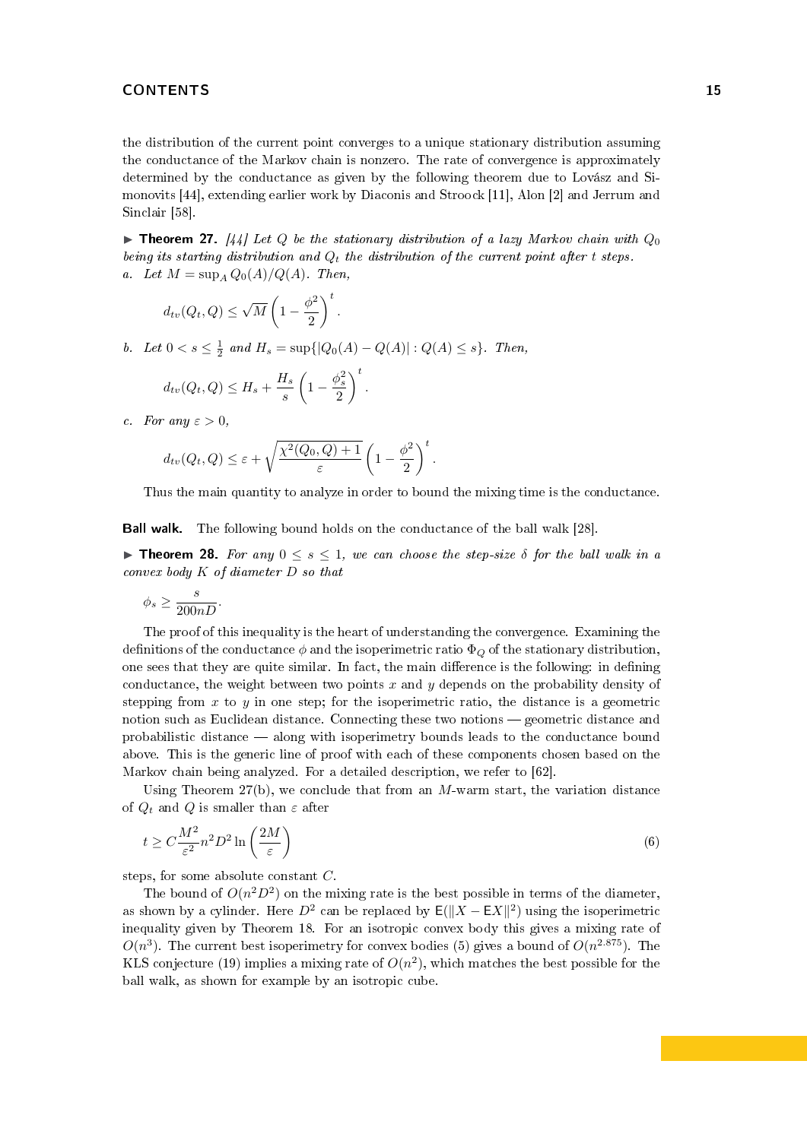the distribution of the current point converges to a unique stationary distribution assuming the conductance of the Markov chain is nonzero. The rate of convergence is approximately determined by the conductance as given by the following theorem due to Lovász and Simonovits [\[44\]](#page-22-11), extending earlier work by Diaconis and Stroock [\[11\]](#page-20-11), Alon [\[2\]](#page-20-12) and Jerrum and Sinclair [\[58\]](#page-22-21).

<span id="page-14-0"></span>**Influent Let**  $\{44\}$  Let  $Q$  be the stationary distribution of a lazy Markov chain with  $Q_0$ being its starting distribution and  $Q_t$  the distribution of the current point after t steps. a. Let  $M = \sup_{A} Q_0(A)/Q(A)$ . Then,

$$
d_{tv}(Q_t, Q) \le \sqrt{M} \left(1 - \frac{\phi^2}{2}\right)^t.
$$

b. Let  $0 < s \leq \frac{1}{2}$  and  $H_s = \sup\{|Q_0(A) - Q(A)| : Q(A) \leq s\}$ . Then,

$$
d_{tv}(Q_t, Q) \leq H_s + \frac{H_s}{s} \left(1 - \frac{\phi_s^2}{2}\right)^t.
$$

c. For any  $\varepsilon > 0$ ,

$$
d_{tv}(Q_t, Q) \leq \varepsilon + \sqrt{\frac{\chi^2(Q_0, Q) + 1}{\varepsilon}} \left(1 - \frac{\phi^2}{2}\right)^t.
$$

Thus the main quantity to analyze in order to bound the mixing time is the conductance.

Ball walk. The following bound holds on the conductance of the ball walk [\[28\]](#page-21-20).

**Theorem 28.** For any  $0 \le s \le 1$ , we can choose the step-size  $\delta$  for the ball walk in a convex body K of diameter D so that

$$
\phi_s \ge \frac{s}{200nD}.
$$

The proof of this inequality is the heart of understanding the convergence. Examining the definitions of the conductance  $\phi$  and the isoperimetric ratio  $\Phi_{\mathcal{O}}$  of the stationary distribution, one sees that they are quite similar. In fact, the main difference is the following: in defining conductance, the weight between two points x and y depends on the probability density of stepping from  $x$  to  $y$  in one step; for the isoperimetric ratio, the distance is a geometric notion such as Euclidean distance. Connecting these two notions — geometric distance and probabilistic distance along with isoperimetry bounds leads to the conductance bound above. This is the generic line of proof with each of these components chosen based on the Markov chain being analyzed. For a detailed description, we refer to [\[62\]](#page-22-20).

Using Theorem  $27(b)$ , we conclude that from an M-warm start, the variation distance of  $Q_t$  and Q is smaller than  $\varepsilon$  after

<span id="page-14-1"></span>
$$
t \ge C \frac{M^2}{\varepsilon^2} n^2 D^2 \ln\left(\frac{2M}{\varepsilon}\right) \tag{6}
$$

steps, for some absolute constant C.

The bound of  $O(n^2D^2)$  on the mixing rate is the best possible in terms of the diameter, as shown by a cylinder. Here  $D^2$  can be replaced by  $E(||X - EX||^2)$  using the isoperimetric inequality given by Theorem [18.](#page-9-1) For an isotropic convex body this gives a mixing rate of  $O(n^3)$ . The current best isoperimetry for convex bodies [\(5\)](#page-10-1) gives a bound of  $O(n^{2.875})$ . The KLS conjecture [\(19\)](#page-10-2) implies a mixing rate of  $O(n^2)$ , which matches the best possible for the ball walk, as shown for example by an isotropic cube.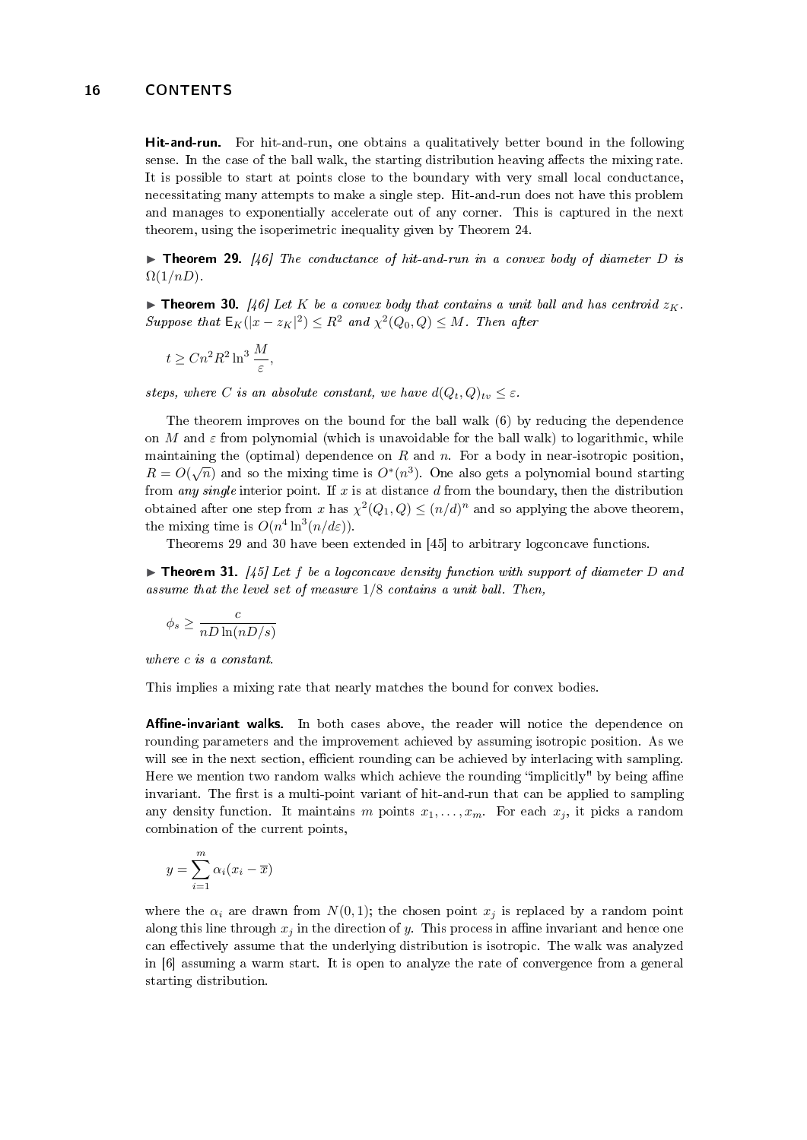Hit-and-run. For hit-and-run, one obtains a qualitatively better bound in the following sense. In the case of the ball walk, the starting distribution heaving affects the mixing rate. It is possible to start at points close to the boundary with very small local conductance, necessitating many attempts to make a single step. Hit-and-run does not have this problem and manages to exponentially accelerate out of any corner. This is captured in the next theorem, using the isoperimetric inequality given by Theorem [24.](#page-11-0)

<span id="page-15-0"></span>**Theorem 29.** [\[46\]](#page-22-16) The conductance of hit-and-run in a convex body of diameter D is  $\Omega(1/nD)$ .

<span id="page-15-1"></span>**Integral 30.** [\[46\]](#page-22-16) Let K be a convex body that contains a unit ball and has centroid  $z_K$ . Suppose that  $\mathsf{E}_K(|x-z_K|^2)\leq R^2$  and  $\chi^2(Q_0,Q)\leq M$ . Then after

$$
t \geq Cn^2R^2\ln^3\frac{M}{\varepsilon},
$$

steps, where C is an absolute constant, we have  $d(Q_t, Q)_{tv} \leq \varepsilon$ .

The theorem improves on the bound for the ball walk [\(6\)](#page-14-1) by reducing the dependence on M and  $\varepsilon$  from polynomial (which is unavoidable for the ball walk) to logarithmic, while maintaining the (optimal) dependence on R and n. For a body in near-isotropic position. maintaining the (optimar) dependence on R and n. For a body in hear-isotropic position,<br> $R = O(\sqrt{n})$  and so the mixing time is  $O^*(n^3)$ . One also gets a polynomial bound starting from any single interior point. If x is at distance  $d$  from the boundary, then the distribution obtained after one step from  $x$  has  $\chi^2(Q_1,Q) \leq (n/d)^n$  and so applying the above theorem, the mixing time is  $O(n^4 \ln^3(n/d\varepsilon)).$ 

Theorems [29](#page-15-0) and [30](#page-15-1) have been extended in [\[45\]](#page-22-1) to arbitrary logconcave functions.

 $\triangleright$  Theorem 31. [\[45\]](#page-22-1) Let f be a logconcave density function with support of diameter D and assume that the level set of measure 1/8 contains a unit ball. Then,

$$
\phi_s \geq \frac{c}{nD\ln(nD/s)}
$$

where c is a constant.

This implies a mixing rate that nearly matches the bound for convex bodies.

Affine-invariant walks. In both cases above, the reader will notice the dependence on rounding parameters and the improvement achieved by assuming isotropic position. As we will see in the next section, efficient rounding can be achieved by interlacing with sampling. Here we mention two random walks which achieve the rounding "implicitly" by being affine invariant. The first is a multi-point variant of hit-and-run that can be applied to sampling any density function. It maintains m points  $x_1, \ldots, x_m$ . For each  $x_j$ , it picks a random combination of the current points,

$$
y = \sum_{i=1}^{m} \alpha_i (x_i - \overline{x})
$$

where the  $\alpha_i$  are drawn from  $N(0, 1)$ ; the chosen point  $x_j$  is replaced by a random point along this line through  $x_i$  in the direction of y. This process in affine invariant and hence one can effectively assume that the underlying distribution is isotropic. The walk was analyzed in [\[6\]](#page-20-0) assuming a warm start. It is open to analyze the rate of convergence from a general starting distribution.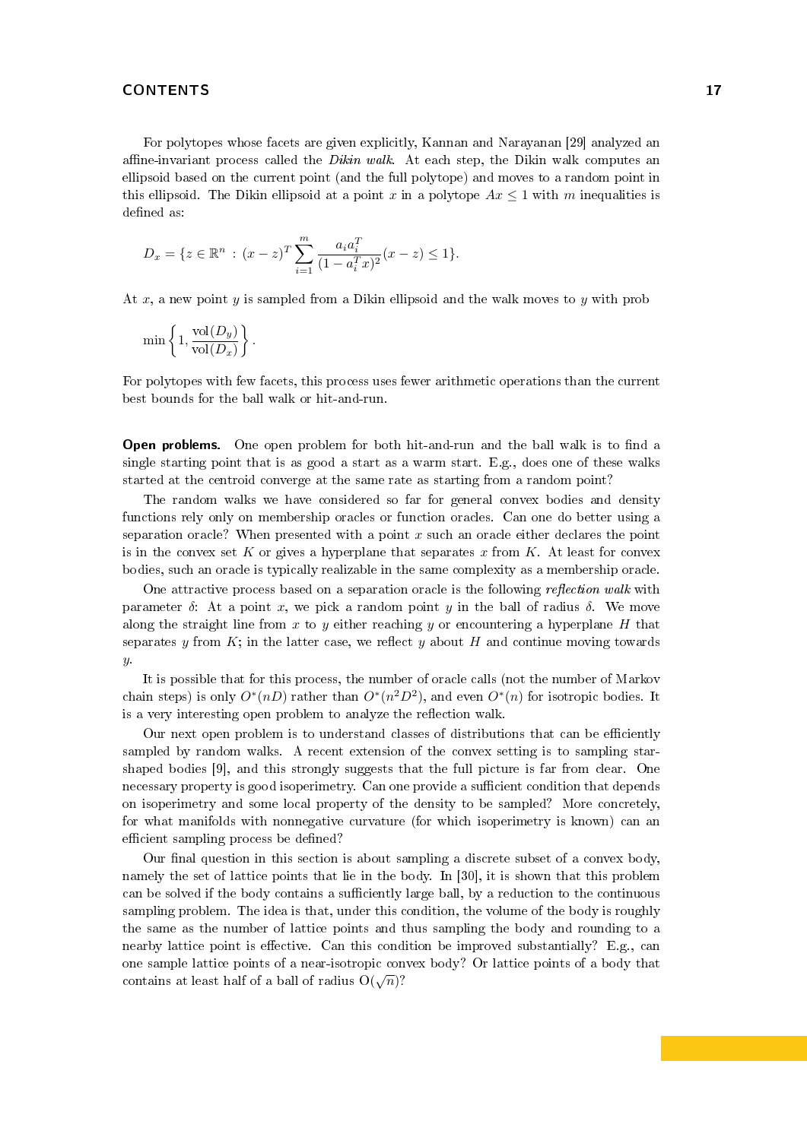For polytopes whose facets are given explicitly, Kannan and Narayanan [\[29\]](#page-21-21) analyzed an affine-invariant process called the Dikin walk. At each step, the Dikin walk computes an ellipsoid based on the current point (and the full polytope) and moves to a random point in this ellipsoid. The Dikin ellipsoid at a point x in a polytope  $Ax \leq 1$  with m inequalities is defined as:

$$
D_x = \{ z \in \mathbb{R}^n : (x - z)^T \sum_{i=1}^m \frac{a_i a_i^T}{(1 - a_i^T x)^2} (x - z) \le 1 \}.
$$

At x, a new point y is sampled from a Dikin ellipsoid and the walk moves to y with prob

$$
\min\left\{1, \frac{\text{vol}(D_y)}{\text{vol}(D_x)}\right\}.
$$

For polytopes with few facets, this process uses fewer arithmetic operations than the current best bounds for the ball walk or hit-and-run.

**Open problems.** One open problem for both hit-and-run and the ball walk is to find a single starting point that is as good a start as a warm start. E.g., does one of these walks started at the centroid converge at the same rate as starting from a random point?

The random walks we have considered so far for general convex bodies and density functions rely only on membership oracles or function oracles. Can one do better using a separation oracle? When presented with a point  $x$  such an oracle either declares the point is in the convex set K or gives a hyperplane that separates x from K. At least for convex bodies, such an oracle is typically realizable in the same complexity as a membership oracle.

One attractive process based on a separation oracle is the following *reflection walk* with parameter  $\delta$ : At a point x, we pick a random point y in the ball of radius  $\delta$ . We move along the straight line from  $x$  to  $y$  either reaching  $y$  or encountering a hyperplane  $H$  that separates y from  $K$ ; in the latter case, we reflect y about H and continue moving towards  $y$ .

It is possible that for this process, the number of oracle calls (not the number of Markov chain steps) is only  $O^*(n)$  rather than  $O^*(n^2D^2)$ , and even  $O^*(n)$  for isotropic bodies. It is a very interesting open problem to analyze the reflection walk.

Our next open problem is to understand classes of distributions that can be efficiently sampled by random walks. A recent extension of the convex setting is to sampling starshaped bodies [\[9\]](#page-20-1), and this strongly suggests that the full picture is far from clear. One necessary property is good isoperimetry. Can one provide a sufficient condition that depends on isoperimetry and some local property of the density to be sampled? More concretely, for what manifolds with nonnegative curvature (for which isoperimetry is known) can an efficient sampling process be defined?

Our final question in this section is about sampling a discrete subset of a convex body, namely the set of lattice points that lie in the body. In [\[30\]](#page-21-6), it is shown that this problem can be solved if the body contains a sufficiently large ball, by a reduction to the continuous sampling problem. The idea is that, under this condition, the volume of the body is roughly the same as the number of lattice points and thus sampling the body and rounding to a nearby lattice point is effective. Can this condition be improved substantially? E.g., can one sample lattice points of a near-isotropic convex body? Or lattice points of a body that contains at least half of a ball of radius  $O(\sqrt{n})$ ?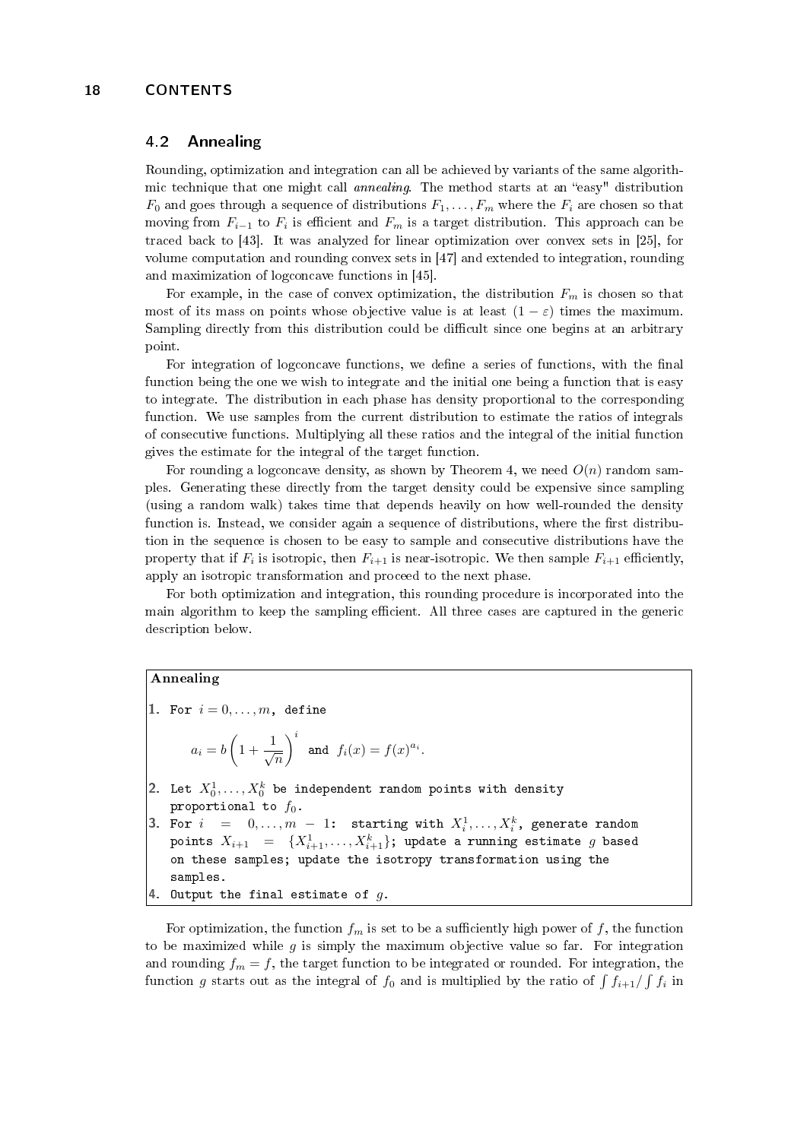# <span id="page-17-0"></span>4.2 Annealing

Rounding, optimization and integration can all be achieved by variants of the same algorithmic technique that one might call *annealing*. The method starts at an "easy" distribution  $F_0$  and goes through a sequence of distributions  $F_1, \ldots, F_m$  where the  $F_i$  are chosen so that moving from  $F_{i-1}$  to  $F_i$  is efficient and  $F_m$  is a target distribution. This approach can be traced back to [\[43\]](#page-22-13). It was analyzed for linear optimization over convex sets in [\[25\]](#page-21-1), for volume computation and rounding convex sets in [\[47\]](#page-22-15) and extended to integration, rounding and maximization of logconcave functions in [\[45\]](#page-22-1).

For example, in the case of convex optimization, the distribution  $F_m$  is chosen so that most of its mass on points whose objective value is at least  $(1 - \varepsilon)$  times the maximum. Sampling directly from this distribution could be difficult since one begins at an arbitrary point.

For integration of logconcave functions, we define a series of functions, with the final function being the one we wish to integrate and the initial one being a function that is easy to integrate. The distribution in each phase has density proportional to the corresponding function. We use samples from the current distribution to estimate the ratios of integrals of consecutive functions. Multiplying all these ratios and the integral of the initial function gives the estimate for the integral of the target function.

For rounding a logconcave density, as shown by Theorem [4,](#page-6-1) we need  $O(n)$  random samples. Generating these directly from the target density could be expensive since sampling (using a random walk) takes time that depends heavily on how well-rounded the density function is. Instead, we consider again a sequence of distributions, where the first distribution in the sequence is chosen to be easy to sample and consecutive distributions have the property that if  $F_i$  is isotropic, then  $F_{i+1}$  is near-isotropic. We then sample  $F_{i+1}$  efficiently, apply an isotropic transformation and proceed to the next phase.

For both optimization and integration, this rounding procedure is incorporated into the main algorithm to keep the sampling efficient. All three cases are captured in the generic description below.

#### Annealing

1. For  $i = 0, \ldots, m$ , define

$$
a_i = b \left(1 + \frac{1}{\sqrt{n}}\right)^i
$$
 and  $f_i(x) = f(x)^{a_i}$ .

- 2. Let  $X_0^1,\ldots,X_0^k$  be independent random points with density proportional to  $f_0$ .
- 3. For  $i = 0, \ldots, m 1$ : starting with  $X_i^1, \ldots, X_i^k$ , generate random points  $X_{i+1}$   $\hspace{0.1 cm} = \hspace{0.1 cm} \{X_{i+1}^1, \ldots, X_{i+1}^k\};$  update a running estimate  $g$  based on these samples; update the isotropy transformation using the samples. 4. Output the final estimate of  $g$ .

For optimization, the function  $f_m$  is set to be a sufficiently high power of f, the function to be maximized while  $g$  is simply the maximum objective value so far. For integration and rounding  $f_m = f$ , the target function to be integrated or rounded. For integration, the function g starts out as the integral of  $f_0$  and is multiplied by the ratio of  $\int f_{i+1}/\int f_i$  in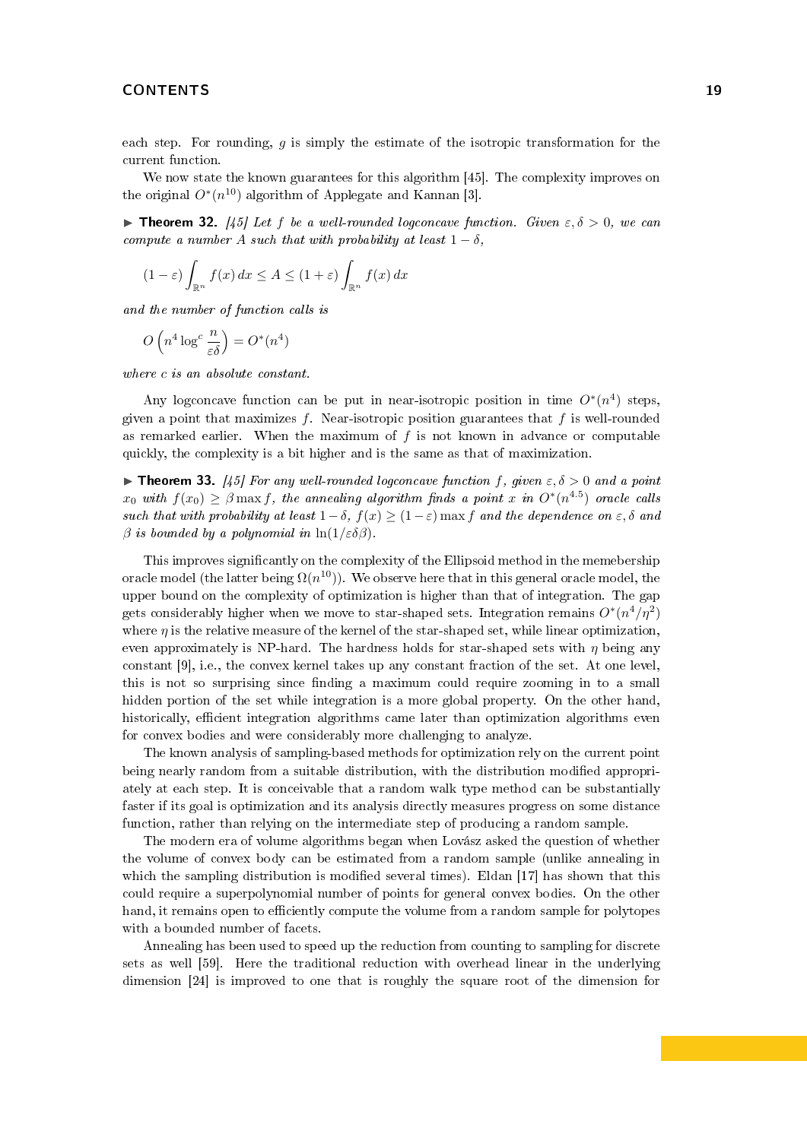each step. For rounding,  $q$  is simply the estimate of the isotropic transformation for the current function.

We now state the known guarantees for this algorithm [\[45\]](#page-22-1). The complexity improves on the original  $O^*(n^{10})$  algorithm of Applegate and Kannan [\[3\]](#page-20-2).

**Integral 12.** [\[45\]](#page-22-1) Let f be a well-rounded logconcave function. Given  $\varepsilon, \delta > 0$ , we can compute a number A such that with probability at least  $1 - \delta$ ,

$$
(1 - \varepsilon) \int_{\mathbb{R}^n} f(x) dx \le A \le (1 + \varepsilon) \int_{\mathbb{R}^n} f(x) dx
$$

and the number of function calls is

$$
O\left(n^4\log^c\frac{n}{\varepsilon\delta}\right) = O^*(n^4)
$$

where c is an absolute constant.

Any logconcave function can be put in near-isotropic position in time  $O^*(n^4)$  steps, given a point that maximizes f. Near-isotropic position guarantees that f is well-rounded as remarked earlier. When the maximum of  $f$  is not known in advance or computable quickly, the complexity is a bit higher and is the same as that of maximization.

**Theorem 33.** [\[45\]](#page-22-1) For any well-rounded logconcave function f, given  $\varepsilon, \delta > 0$  and a point  $x_0$  with  $f(x_0) \geq \beta \max f$ , the annealing algorithm finds a point x in  $O^*(n^{4.5})$  oracle calls such that with probability at least  $1-\delta$ ,  $f(x) \geq (1-\varepsilon)$  max f and the dependence on  $\varepsilon$ ,  $\delta$  and  $\beta$  is bounded by a polynomial in  $\ln(1/\varepsilon \delta \beta)$ .

This improves signicantly on the complexity of the Ellipsoid method in the memebership oracle model (the latter being  $\Omega(n^{10}))$ . We observe here that in this general oracle model, the upper bound on the complexity of optimization is higher than that of integration. The gap gets considerably higher when we move to star-shaped sets. Integration remains  $O^*(n^4/n^2)$ where  $\eta$  is the relative measure of the kernel of the star-shaped set, while linear optimization, even approximately is NP-hard. The hardness holds for star-shaped sets with  $\eta$  being any constant [\[9\]](#page-20-1), i.e., the convex kernel takes up any constant fraction of the set. At one level, this is not so surprising since finding a maximum could require zooming in to a small hidden portion of the set while integration is a more global property. On the other hand, historically, efficient integration algorithms came later than optimization algorithms even for convex bodies and were considerably more challenging to analyze.

The known analysis of sampling-based methods for optimization rely on the current point being nearly random from a suitable distribution, with the distribution modified appropriately at each step. It is conceivable that a random walk type method can be substantially faster if its goal is optimization and its analysis directly measures progress on some distance function, rather than relying on the intermediate step of producing a random sample.

The modern era of volume algorithms began when Lovász asked the question of whether the volume of convex body can be estimated from a random sample (unlike annealing in which the sampling distribution is modified several times). Eldan [\[17\]](#page-21-22) has shown that this could require a superpolynomial number of points for general convex bodies. On the other hand, it remains open to efficiently compute the volume from a random sample for polytopes with a bounded number of facets.

Annealing has been used to speed up the reduction from counting to sampling for discrete sets as well [\[59\]](#page-22-22). Here the traditional reduction with overhead linear in the underlying dimension [\[24\]](#page-21-23) is improved to one that is roughly the square root of the dimension for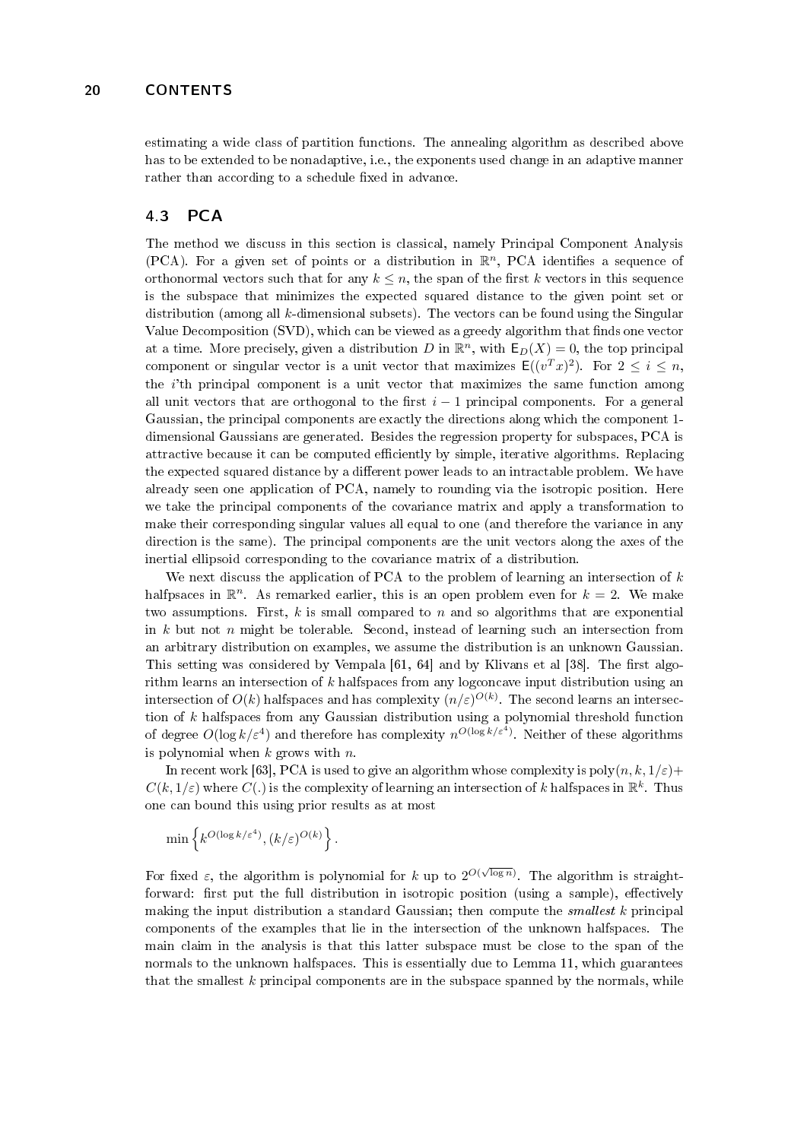estimating a wide class of partition functions. The annealing algorithm as described above has to be extended to be nonadaptive, i.e., the exponents used change in an adaptive manner rather than according to a schedule fixed in advance.

## <span id="page-19-0"></span>4.3 PCA

The method we discuss in this section is classical, namely Principal Component Analysis (PCA). For a given set of points or a distribution in  $\mathbb{R}^n$ , PCA identifies a sequence of orthonormal vectors such that for any  $k \leq n$ , the span of the first k vectors in this sequence is the subspace that minimizes the expected squared distance to the given point set or distribution (among all  $k$ -dimensional subsets). The vectors can be found using the Singular Value Decomposition (SVD), which can be viewed as a greedy algorithm that finds one vector at a time. More precisely, given a distribution D in  $\mathbb{R}^n$ , with  $\mathsf{E}_D(X) = 0$ , the top principal component or singular vector is a unit vector that maximizes  $\mathsf{E}((v^T x)^2)$ . For  $2 \leq i \leq n$ , the  $i$ <sup>th</sup> principal component is a unit vector that maximizes the same function among all unit vectors that are orthogonal to the first  $i - 1$  principal components. For a general Gaussian, the principal components are exactly the directions along which the component 1 dimensional Gaussians are generated. Besides the regression property for subspaces, PCA is attractive because it can be computed efficiently by simple, iterative algorithms. Replacing the expected squared distance by a different power leads to an intractable problem. We have already seen one application of PCA, namely to rounding via the isotropic position. Here we take the principal components of the covariance matrix and apply a transformation to make their corresponding singular values all equal to one (and therefore the variance in any direction is the same). The principal components are the unit vectors along the axes of the inertial ellipsoid corresponding to the covariance matrix of a distribution.

We next discuss the application of PCA to the problem of learning an intersection of  $k$ halfpsaces in  $\mathbb{R}^n$ . As remarked earlier, this is an open problem even for  $k = 2$ . We make two assumptions. First,  $k$  is small compared to  $n$  and so algorithms that are exponential in  $k$  but not  $n$  might be tolerable. Second, instead of learning such an intersection from an arbitrary distribution on examples, we assume the distribution is an unknown Gaussian. This setting was considered by Vempala  $[61, 64]$  $[61, 64]$  and by Klivans et al  $[38]$ . The first algorithm learns an intersection of k halfspaces from any logconcave input distribution using an intersection of  $O(k)$  halfspaces and has complexity  $(n/\varepsilon)^{O(k)}$ . The second learns an intersection of  $k$  halfspaces from any Gaussian distribution using a polynomial threshold function of degree  $O(\log k/\varepsilon^4)$  and therefore has complexity  $n^{O(\log k/\varepsilon^4)}$ . Neither of these algorithms is polynomial when  $k$  grows with  $n$ .

In recent work [\[63\]](#page-22-12), PCA is used to give an algorithm whose complexity is poly $(n, k, 1/\varepsilon)$ +  $C(k, 1/\varepsilon)$  where  $C(.)$  is the complexity of learning an intersection of k halfspaces in  $\mathbb{R}^k$ . Thus one can bound this using prior results as at most

$$
\min\left\{k^{O(\log k/\varepsilon^4)}, (k/\varepsilon)^{O(k)}\right\}.
$$

For fixed  $\varepsilon$ , the algorithm is polynomial for k up to  $2^{O(\sqrt{\log n})}$ . The algorithm is straightforward: first put the full distribution in isotropic position (using a sample), effectively making the input distribution a standard Gaussian; then compute the *smallest*  $k$  principal components of the examples that lie in the intersection of the unknown halfspaces. The main claim in the analysis is that this latter subspace must be close to the span of the normals to the unknown halfspaces. This is essentially due to Lemma [11,](#page-7-1) which guarantees that the smallest  $k$  principal components are in the subspace spanned by the normals, while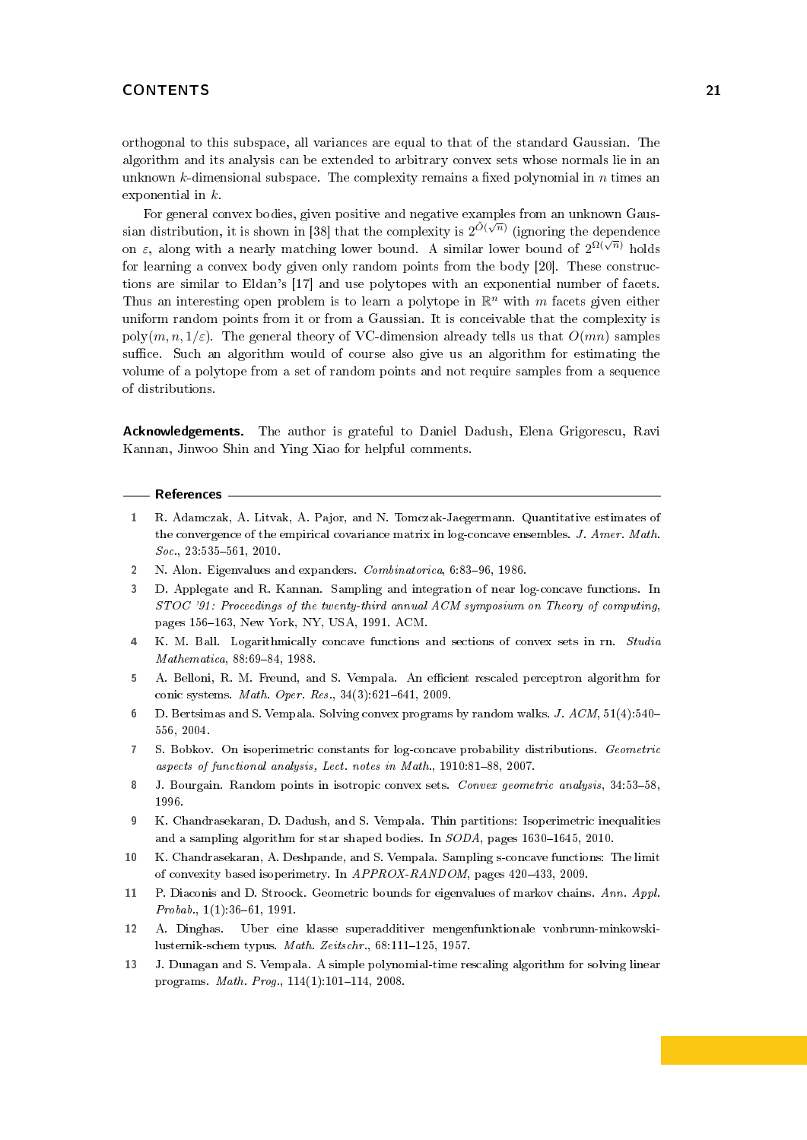orthogonal to this subspace, all variances are equal to that of the standard Gaussian. The algorithm and its analysis can be extended to arbitrary convex sets whose normals lie in an unknown k-dimensional subspace. The complexity remains a fixed polynomial in  $n$  times an exponential in k.

For general convex bodies, given positive and negative examples from an unknown Gaus-sian distribution, it is shown in [\[38\]](#page-21-24) that the complexity is  $2^{\tilde{O}(\sqrt{n})}$  (ignoring the dependence on  $\varepsilon$ , along with a nearly matching lower bound. A similar lower bound of  $2^{\Omega(\sqrt{n})}$  holds for learning a convex body given only random points from the body [\[20\]](#page-21-25). These constructions are similar to Eldan's [\[17\]](#page-21-22) and use polytopes with an exponential number of facets. Thus an interesting open problem is to learn a polytope in  $\mathbb{R}^n$  with m facets given either uniform random points from it or from a Gaussian. It is conceivable that the complexity is poly $(m, n, 1/\varepsilon)$ . The general theory of VC-dimension already tells us that  $O(mn)$  samples suffice. Such an algorithm would of course also give us an algorithm for estimating the volume of a polytope from a set of random points and not require samples from a sequence of distributions.

Acknowledgements. The author is grateful to Daniel Dadush, Elena Grigorescu, Ravi Kannan, Jinwoo Shin and Ying Xiao for helpful comments.

#### References

- <span id="page-20-4"></span>1 R. Adamczak, A. Litvak, A. Pajor, and N. Tomczak-Jaegermann. Quantitative estimates of the convergence of the empirical covariance matrix in log-concave ensembles. J. Amer. Math.  $Soc., 23:535-561, 2010.$
- <span id="page-20-12"></span>2 N. Alon. Eigenvalues and expanders. Combinatorica, 6:83-96, 1986.
- <span id="page-20-2"></span>3 D. Applegate and R. Kannan. Sampling and integration of near log-concave functions. In STOC '91: Proceedings of the twenty-third annual ACM symposium on Theory of computing, pages 156-163, New York, NY, USA, 1991. ACM.
- <span id="page-20-8"></span>4 K. M. Ball. Logarithmically concave functions and sections of convex sets in rn. Studia  $Mathematica, 88:69-84, 1988.$
- <span id="page-20-10"></span>5 A. Belloni, R. M. Freund, and S. Vempala. An efficient rescaled perceptron algorithm for conic systems. *Math. Oper. Res.*,  $34(3):621-641$ , 2009.
- <span id="page-20-0"></span>6 D. Bertsimas and S. Vempala. Solving convex programs by random walks. J. ACM, 51(4):540 556, 2004.
- <span id="page-20-7"></span>7 S. Bobkov. On isoperimetric constants for log-concave probability distributions. Geometric aspects of functional analysis, Lect. notes in Math., 1910:81-88, 2007.
- <span id="page-20-3"></span>8 J. Bourgain. Random points in isotropic convex sets. Convex geometric analysis, 34:53-58, 1996.
- <span id="page-20-1"></span>9 K. Chandrasekaran, D. Dadush, and S. Vempala. Thin partitions: Isoperimetric inequalities and a sampling algorithm for star shaped bodies. In  $SODA$ , pages 1630-1645, 2010.
- <span id="page-20-6"></span>10 K. Chandrasekaran, A. Deshpande, and S. Vempala. Sampling s-concave functions: The limit of convexity based isoperimetry. In  $APPROX-RANDOM$ , pages 420-433, 2009.
- <span id="page-20-11"></span>11 P. Diaconis and D. Stroock. Geometric bounds for eigenvalues of markov chains. Ann. Appl.  $Probab., 1(1):36-61, 1991.$
- <span id="page-20-5"></span>12 A. Dinghas. Uber eine klasse superadditiver mengenfunktionale vonbrunn-minkowskilusternik-schem typus. Math. Zeitschr.,  $68:111-125$ , 1957.
- <span id="page-20-9"></span>13 J. Dunagan and S. Vempala. A simple polynomial-time rescaling algorithm for solving linear programs. Math. Prog.,  $114(1):101-114$ , 2008.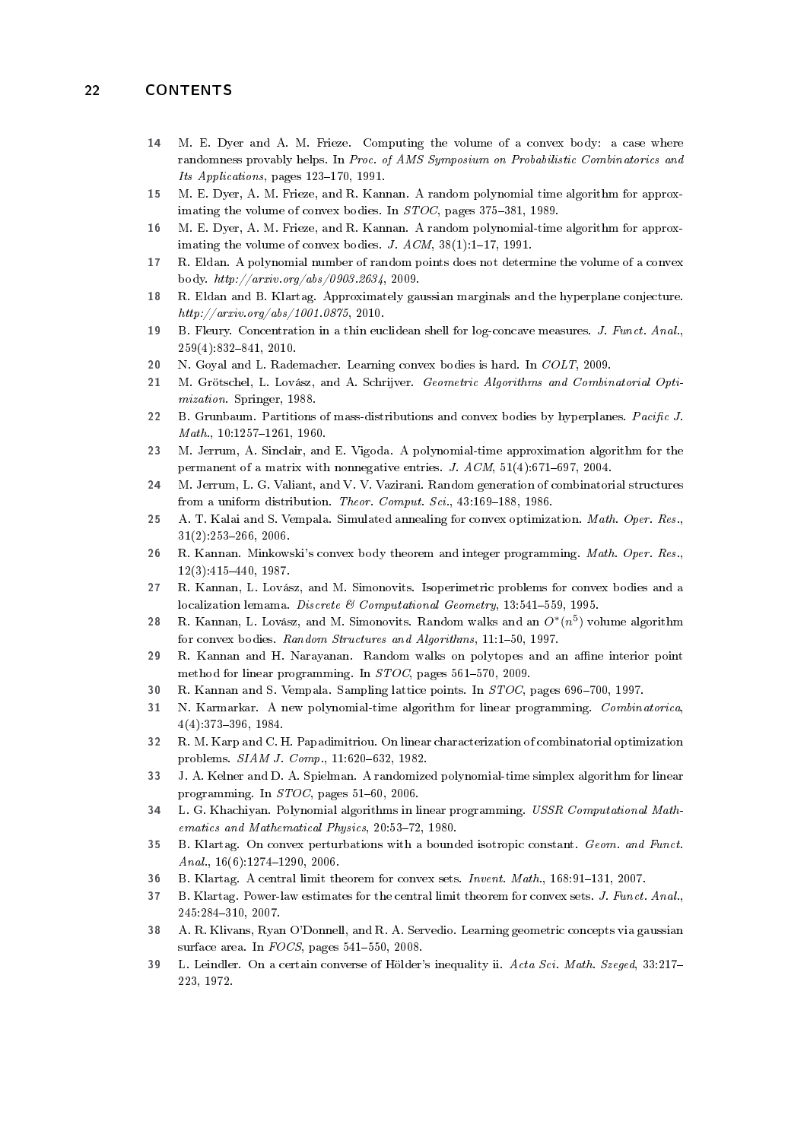- <span id="page-21-13"></span>14 M. E. Dyer and A. M. Frieze. Computing the volume of a convex body: a case where randomness provably helps. In Proc. of AMS Symposium on Probabilistic Combinatorics and Its Applications, pages  $123-170$ , 1991.
- <span id="page-21-3"></span>15 M. E. Dyer, A. M. Frieze, and R. Kannan. A random polynomial time algorithm for approximating the volume of convex bodies. In  $STOC$ , pages 375-381, 1989.
- <span id="page-21-4"></span>16 M. E. Dyer, A. M. Frieze, and R. Kannan. A random polynomial-time algorithm for approximating the volume of convex bodies. J.  $ACM$ ,  $38(1):1-17$ , 1991.
- <span id="page-21-22"></span>17 R. Eldan. A polynomial number of random points does not determine the volume of a convex body.  $http://arxiv.org/abs/0903.2634, 2009.$
- <span id="page-21-15"></span>18 R. Eldan and B. Klartag. Approximately gaussian marginals and the hyperplane conjecture.  $http://arxiv.org/abs/1001.0875, 2010.$
- <span id="page-21-12"></span>19 B. Fleury. Concentration in a thin euclidean shell for log-concave measures. J. Funct. Anal.,  $259(4):832-841, 2010.$
- <span id="page-21-25"></span>20 N. Goyal and L. Rademacher. Learning convex bodies is hard. In COLT, 2009.
- <span id="page-21-0"></span>21 M. Grötschel, L. Lovász, and A. Schrijver. Geometric Algorithms and Combinatorial Optimization. Springer, 1988.
- <span id="page-21-9"></span>22 B. Grunbaum. Partitions of mass-distributions and convex bodies by hyperplanes. Pacific J.  $Math., 10:1257-1261, 1960.$
- <span id="page-21-5"></span>23 M. Jerrum, A. Sinclair, and E. Vigoda. A polynomial-time approximation algorithm for the permanent of a matrix with nonnegative entries. J.  $ACM$ ,  $51(4):671-697$ ,  $2004$ .
- <span id="page-21-23"></span>24 M. Jerrum, L. G. Valiant, and V. V. Vazirani. Random generation of combinatorial structures from a uniform distribution. Theor. Comput. Sci., 43:169-188, 1986.
- <span id="page-21-1"></span>25 A. T. Kalai and S. Vempala. Simulated annealing for convex optimization. Math. Oper. Res.,  $31(2):253-266, 2006.$
- <span id="page-21-19"></span>26 R. Kannan. Minkowski's convex body theorem and integer programming. Math. Oper. Res.,  $12(3):415-440, 1987.$
- <span id="page-21-7"></span>27 R. Kannan, L. Lovász, and M. Simonovits. Isoperimetric problems for convex bodies and a localization lemama. Discrete & Computational Geometry, 13:541-559, 1995.
- <span id="page-21-20"></span>28 R. Kannan, L. Lovász, and M. Simonovits. Random walks and an  $O^*(n^5)$  volume algorithm for convex bodies. Random Structures and Algorithms, 11:1-50, 1997.
- <span id="page-21-21"></span>29 R. Kannan and H. Narayanan. Random walks on polytopes and an affine interior point method for linear programming. In  $STOC$ , pages 561-570, 2009.
- <span id="page-21-6"></span>30 R. Kannan and S. Vempala. Sampling lattice points. In  $STOC$ , pages 696-700, 1997.
- <span id="page-21-17"></span>31 N. Karmarkar. A new polynomial-time algorithm for linear programming. Combinatorica,  $4(4):373-396, 1984.$
- <span id="page-21-16"></span>32 R. M. Karp and C. H. Papadimitriou. On linear characterization of combinatorial optimization problems.  $SIAM J. Comp., 11:620-632, 1982.$
- <span id="page-21-18"></span>33 J. A. Kelner and D. A. Spielman. A randomized polynomial-time simplex algorithm for linear programming. In  $STOC$ , pages 51–60, 2006.
- <span id="page-21-2"></span>34 L. G. Khachiyan. Polynomial algorithms in linear programming. USSR Computational Mathematics and Mathematical Physics, 20:53-72, 1980.
- <span id="page-21-14"></span>35 B. Klartag. On convex perturbations with a bounded isotropic constant. Geom. and Funct. Anal.,  $16(6):1274-1290$ , 2006.
- <span id="page-21-10"></span>36 B. Klartag. A central limit theorem for convex sets. Invent. Math., 168:91-131, 2007.
- <span id="page-21-11"></span>37 B. Klartag. Power-law estimates for the central limit theorem for convex sets. J. Funct. Anal., 245:284310, 2007.
- <span id="page-21-24"></span>38 A. R. Klivans, Ryan O'Donnell, and R. A. Servedio. Learning geometric concepts via gaussian surface area. In  $FOCS$ , pages 541-550, 2008.
- <span id="page-21-8"></span>39 L. Leindler. On a certain converse of Hölder's inequality ii. Acta Sci. Math. Szeged, 33:217-223, 1972.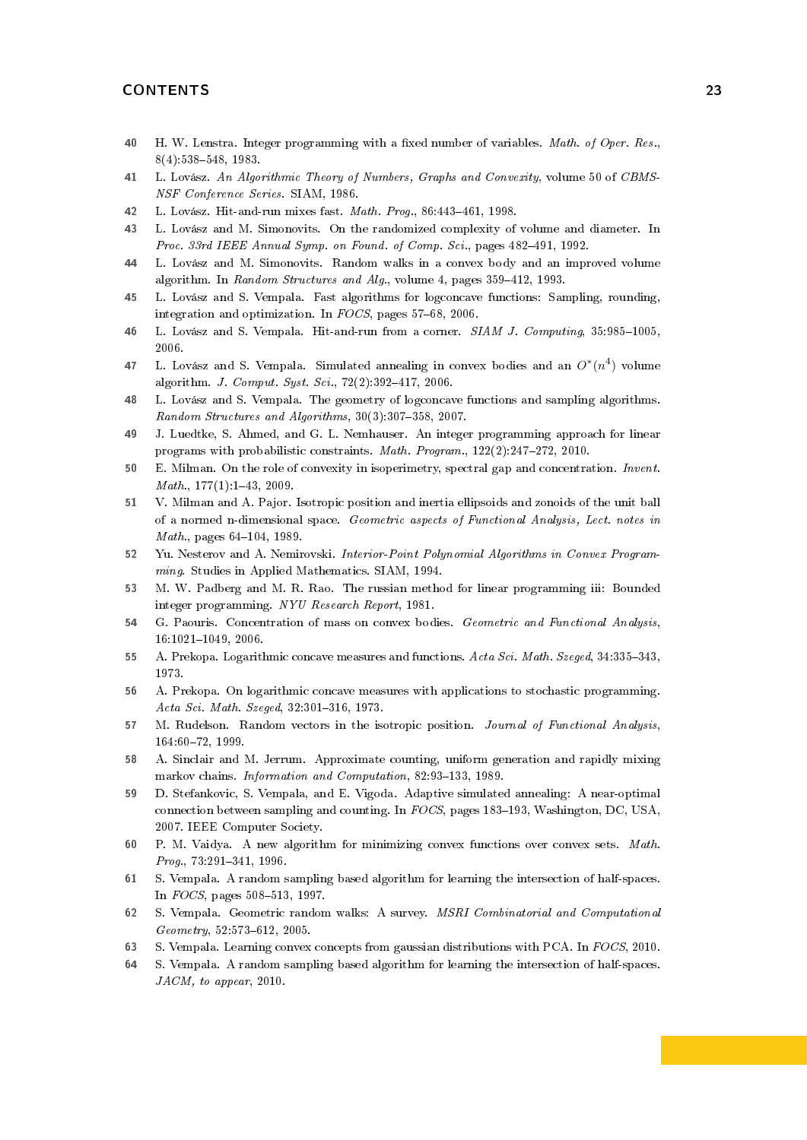- <span id="page-22-19"></span>40 H. W. Lenstra. Integer programming with a fixed number of variables. Math. of Oper. Res.,  $8(4):538-548, 1983.$
- <span id="page-22-3"></span>41 L. Lovász. An Algorithmic Theory of Numbers, Graphs and Convexity, volume 50 of CBMS-NSF Conference Series. SIAM, 1986.
- <span id="page-22-14"></span>42 L. Lovász. Hit-and-run mixes fast. Math. Prog., 86:443-461, 1998.
- <span id="page-22-13"></span>43 L. Lovász and M. Simonovits. On the randomized complexity of volume and diameter. In Proc. 33rd IEEE Annual Symp. on Found. of Comp. Sci., pages 482-491, 1992.
- <span id="page-22-11"></span>44 L. Lovász and M. Simonovits. Random walks in a convex body and an improved volume algorithm. In Random Structures and Alg., volume 4, pages 359-412, 1993.
- <span id="page-22-1"></span>45 L. Lovász and S. Vempala. Fast algorithms for logconcave functions: Sampling, rounding, integration and optimization. In  $FOCS$ , pages 57-68, 2006.
- <span id="page-22-16"></span>46 L. Lovász and S. Vempala. Hit-and-run from a corner. SIAM J. Computing, 35:985-1005, 2006.
- <span id="page-22-15"></span>47 L. Lovász and S. Vempala. Simulated annealing in convex bodies and an  $O^*(n^4)$  volume algorithm. *J. Comput. Syst. Sci.*,  $72(2):392-417$ ,  $2006$ .
- <span id="page-22-10"></span>48 L. Lovász and S. Vempala. The geometry of logconcave functions and sampling algorithms. Random Structures and Algorithms,  $30(3):307-358$ , 2007.
- <span id="page-22-2"></span>49 J. Luedtke, S. Ahmed, and G. L. Nemhauser. An integer programming approach for linear programs with probabilistic constraints. Math. Program., 122(2):247-272, 2010.
- <span id="page-22-8"></span>50 E. Milman. On the role of convexity in isoperimetry, spectral gap and concentration. Invent.  $Math., 177(1):1-43, 2009.$
- <span id="page-22-9"></span>51 V. Milman and A. Pajor. Isotropic position and inertia ellipsoids and zonoids of the unit ball of a normed n-dimensional space. Geometric aspects of Functional Analysis, Lect. notes in  $Math., pages 64-104, 1989.$
- <span id="page-22-18"></span>52 Yu. Nesterov and A. Nemirovski. Interior-Point Polynomial Algorithms in Convex Programming. Studies in Applied Mathematics. SIAM, 1994.
- <span id="page-22-17"></span>53 M. W. Padberg and M. R. Rao. The russian method for linear programming iii: Bounded integer programming. NYU Research Report, 1981.
- <span id="page-22-5"></span>54 G. Paouris. Concentration of mass on convex bodies. Geometric and Functional Analysis, 16:1021-1049, 2006.
- <span id="page-22-6"></span>55 A. Prekopa. Logarithmic concave measures and functions. Acta Sci. Math. Szeged, 34:335-343, 1973.
- <span id="page-22-7"></span>56 A. Prekopa. On logarithmic concave measures with applications to stochastic programming. Acta Sci. Math. Szeged, 32:301-316, 1973.
- <span id="page-22-4"></span>57 M. Rudelson. Random vectors in the isotropic position. Journal of Functional Analysis, 164:6072, 1999.
- <span id="page-22-21"></span>58 A. Sinclair and M. Jerrum. Approximate counting, uniform generation and rapidly mixing markov chains. Information and Computation, 82:93-133, 1989.
- <span id="page-22-22"></span>59 D. Stefankovic, S. Vempala, and E. Vigoda. Adaptive simulated annealing: A near-optimal connection between sampling and counting. In  $FOCS$ , pages 183–193, Washington, DC, USA, 2007. IEEE Computer Society.
- <span id="page-22-0"></span>60 P. M. Vaidya. A new algorithm for minimizing convex functions over convex sets. Math.  $Prog.$ ,  $73:291-341, 1996.$
- <span id="page-22-23"></span>61 S. Vempala. A random sampling based algorithm for learning the intersection of half-spaces. In  $FOCS$ , pages 508-513, 1997.
- <span id="page-22-20"></span>62 S. Vempala. Geometric random walks: A survey. MSRI Combinatorial and Computational  $Geometry, 52:573-612, 2005.$
- <span id="page-22-12"></span>63 S. Vempala. Learning convex concepts from gaussian distributions with PCA. In FOCS, 2010.
- <span id="page-22-24"></span>64 S. Vempala. A random sampling based algorithm for learning the intersection of half-spaces. JACM, to appear, 2010.